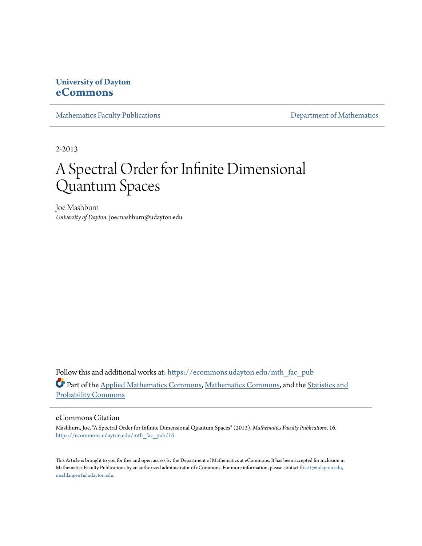## **University of Dayton [eCommons](https://ecommons.udayton.edu?utm_source=ecommons.udayton.edu%2Fmth_fac_pub%2F16&utm_medium=PDF&utm_campaign=PDFCoverPages)**

[Mathematics Faculty Publications](https://ecommons.udayton.edu/mth_fac_pub?utm_source=ecommons.udayton.edu%2Fmth_fac_pub%2F16&utm_medium=PDF&utm_campaign=PDFCoverPages) **[Department of Mathematics](https://ecommons.udayton.edu/mth?utm_source=ecommons.udayton.edu%2Fmth_fac_pub%2F16&utm_medium=PDF&utm_campaign=PDFCoverPages)** 

2-2013

# A Spectral Order for Infinite Dimensional Quantum Spaces

Joe Mashburn *University of Dayton*, joe.mashburn@udayton.edu

Follow this and additional works at: [https://ecommons.udayton.edu/mth\\_fac\\_pub](https://ecommons.udayton.edu/mth_fac_pub?utm_source=ecommons.udayton.edu%2Fmth_fac_pub%2F16&utm_medium=PDF&utm_campaign=PDFCoverPages) Part of the [Applied Mathematics Commons](http://network.bepress.com/hgg/discipline/115?utm_source=ecommons.udayton.edu%2Fmth_fac_pub%2F16&utm_medium=PDF&utm_campaign=PDFCoverPages), [Mathematics Commons,](http://network.bepress.com/hgg/discipline/174?utm_source=ecommons.udayton.edu%2Fmth_fac_pub%2F16&utm_medium=PDF&utm_campaign=PDFCoverPages) and the [Statistics and](http://network.bepress.com/hgg/discipline/208?utm_source=ecommons.udayton.edu%2Fmth_fac_pub%2F16&utm_medium=PDF&utm_campaign=PDFCoverPages) [Probability Commons](http://network.bepress.com/hgg/discipline/208?utm_source=ecommons.udayton.edu%2Fmth_fac_pub%2F16&utm_medium=PDF&utm_campaign=PDFCoverPages)

## eCommons Citation

Mashburn, Joe, "A Spectral Order for Infinite Dimensional Quantum Spaces" (2013). *Mathematics Faculty Publications*. 16. [https://ecommons.udayton.edu/mth\\_fac\\_pub/16](https://ecommons.udayton.edu/mth_fac_pub/16?utm_source=ecommons.udayton.edu%2Fmth_fac_pub%2F16&utm_medium=PDF&utm_campaign=PDFCoverPages)

This Article is brought to you for free and open access by the Department of Mathematics at eCommons. It has been accepted for inclusion in Mathematics Faculty Publications by an authorized administrator of eCommons. For more information, please contact [frice1@udayton.edu,](mailto:frice1@udayton.edu,%20mschlangen1@udayton.edu) [mschlangen1@udayton.edu.](mailto:frice1@udayton.edu,%20mschlangen1@udayton.edu)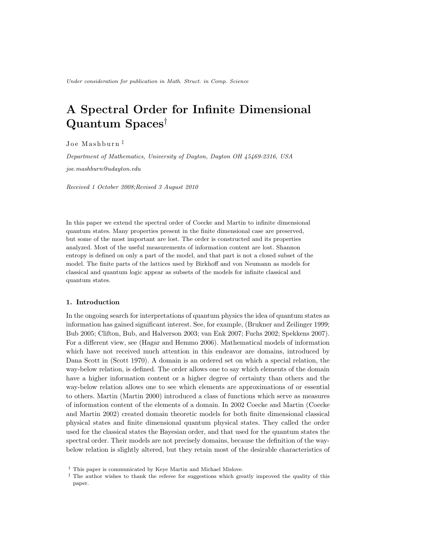## **A Spectral Order for Infinite Dimensional Quantum Spaces***†*

J o e M a s h b u r n *‡*

*Department of Mathematics, University of Dayton, Dayton OH 45469-2316, USA*

*joe.mashburn@udayton.edu*

*Received 1 October 2008;Revised 3 August 2010*

In this paper we extend the spectral order of Coecke and Martin to infinite dimensional quantum states. Many properties present in the finite dimensional case are preserved, but some of the most important are lost. The order is constructed and its properties analyzed. Most of the useful measurements of information content are lost. Shannon entropy is defined on only a part of the model, and that part is not a closed subset of the model. The finite parts of the lattices used by Birkhoff and von Neumann as models for classical and quantum logic appear as subsets of the models for infinite classical and quantum states.

#### **1. Introduction**

In the ongoing search for interpretations of quantum physics the idea of quantum states as information has gained significant interest. See, for example, (Brukner and Zeilinger 1999; Bub 2005; Clifton, Bub, and Halverson 2003; van Enk 2007; Fuchs 2002; Spekkens 2007). For a different view, see (Hagar and Hemmo 2006). Mathematical models of information which have not received much attention in this endeavor are domains, introduced by Dana Scott in (Scott 1970). A domain is an ordered set on which a special relation, the way-below relation, is defined. The order allows one to say which elements of the domain have a higher information content or a higher degree of certainty than others and the way-below relation allows one to see which elements are approximations of or essential to others. Martin (Martin 2000) introduced a class of functions which serve as measures of information content of the elements of a domain. In 2002 Coecke and Martin (Coecke and Martin 2002) created domain theoretic models for both finite dimensional classical physical states and finite dimensional quantum physical states. They called the order used for the classical states the Bayesian order, and that used for the quantum states the spectral order. Their models are not precisely domains, because the definition of the waybelow relation is slightly altered, but they retain most of the desirable characteristics of

*<sup>†</sup>* This paper is communicated by Keye Martin and Michael Mislove.

*<sup>‡</sup>* The author wishes to thank the referee for suggestions which greatly improved the quality of this paper.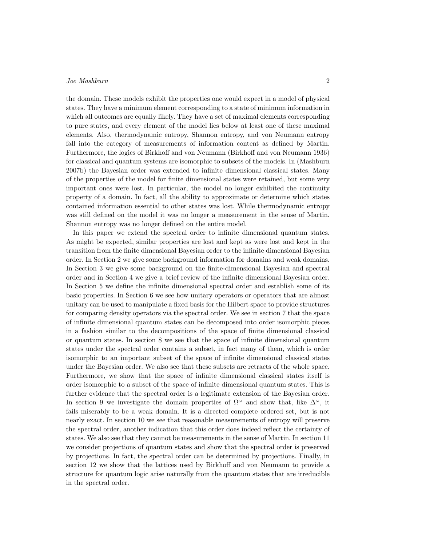the domain. These models exhibit the properties one would expect in a model of physical states. They have a minimum element corresponding to a state of minimum information in which all outcomes are equally likely. They have a set of maximal elements corresponding to pure states, and every element of the model lies below at least one of these maximal elements. Also, thermodynamic entropy, Shannon entropy, and von Neumann entropy fall into the category of measurements of information content as defined by Martin. Furthermore, the logics of Birkhoff and von Neumann (Birkhoff and von Neumann 1936) for classical and quantum systems are isomorphic to subsets of the models. In (Mashburn 2007b) the Bayesian order was extended to infinite dimensional classical states. Many of the properties of the model for finite dimensional states were retained, but some very important ones were lost. In particular, the model no longer exhibited the continuity property of a domain. In fact, all the ability to approximate or determine which states contained information essential to other states was lost. While thermodynamic entropy was still defined on the model it was no longer a measurement in the sense of Martin. Shannon entropy was no longer defined on the entire model.

In this paper we extend the spectral order to infinite dimensional quantum states. As might be expected, similar properties are lost and kept as were lost and kept in the transition from the finite dimensional Bayesian order to the infinite dimensional Bayesian order. In Section 2 we give some background information for domains and weak domains. In Section 3 we give some background on the finite-dimensional Bayesian and spectral order and in Section 4 we give a brief review of the infinite dimensional Bayesian order. In Section 5 we define the infinite dimensional spectral order and establish some of its basic properties. In Section 6 we see how unitary operators or operators that are almost unitary can be used to manipulate a fixed basis for the Hilbert space to provide structures for comparing density operators via the spectral order. We see in section 7 that the space of infinite dimensional quantum states can be decomposed into order isomorphic pieces in a fashion similar to the decompositions of the space of finite dimensional classical or quantum states. In section 8 we see that the space of infinite dimensional quantum states under the spectral order contains a subset, in fact many of them, which is order isomorphic to an important subset of the space of infinite dimensional classical states under the Bayesian order. We also see that these subsets are retracts of the whole space. Furthermore, we show that the space of infinite dimensional classical states itself is order isomorphic to a subset of the space of infinite dimensional quantum states. This is further evidence that the spectral order is a legitimate extension of the Bayesian order. In section 9 we investigate the domain properties of  $\Omega^{\omega}$  and show that, like  $\Delta^{\omega}$ , it fails miserably to be a weak domain. It is a directed complete ordered set, but is not nearly exact. In section 10 we see that reasonable measurements of entropy will preserve the spectral order, another indication that this order does indeed reflect the certainty of states. We also see that they cannot be measurements in the sense of Martin. In section 11 we consider projections of quantum states and show that the spectral order is preserved by projections. In fact, the spectral order can be determined by projections. Finally, in section 12 we show that the lattices used by Birkhoff and von Neumann to provide a structure for quantum logic arise naturally from the quantum states that are irreducible in the spectral order.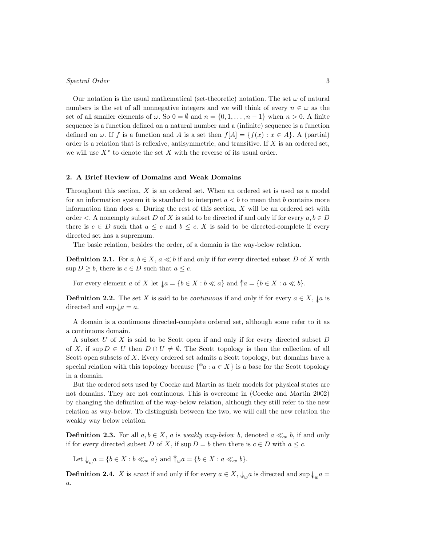Our notation is the usual mathematical (set-theoretic) notation. The set  $\omega$  of natural numbers is the set of all nonnegative integers and we will think of every  $n \in \omega$  as the set of all smaller elements of  $\omega$ . So  $0 = \emptyset$  and  $n = \{0, 1, \ldots, n-1\}$  when  $n > 0$ . A finite sequence is a function defined on a natural number and a (infinite) sequence is a function defined on  $\omega$ . If  $f$  is a function and  $A$  is a set then  $f[A] = \{f(x) : x \in A\}$ . A (partial) order is a relation that is reflexive, antisymmetric, and transitive. If *X* is an ordered set, we will use *X<sup>∗</sup>* to denote the set *X* with the reverse of its usual order.

#### **2. A Brief Review of Domains and Weak Domains**

Throughout this section, *X* is an ordered set. When an ordered set is used as a model for an information system it is standard to interpret  $a < b$  to mean that *b* contains more information than does *a*. During the rest of this section, *X* will be an ordered set with order  $\lt$ . A nonempty subset *D* of *X* is said to be directed if and only if for every  $a, b \in D$ there is  $c \in D$  such that  $a \leq c$  and  $b \leq c$ . *X* is said to be directed-complete if every directed set has a supremum.

The basic relation, besides the order, of a domain is the way-below relation.

**Definition 2.1.** For  $a, b \in X$ ,  $a \ll b$  if and only if for every directed subset *D* of *X* with sup  $D \geq b$ , there is  $c \in D$  such that  $a \leq c$ .

For every element a of X let  $\downarrow a = \{b \in X : b \ll a\}$  and  $\uparrow a = \{b \in X : a \ll b\}.$ 

**Definition 2.2.** The set *X* is said to be *continuous* if and only if for every  $a \in X$ ,  $\downarrow a$  is directed and  $\sup \phi a = a$ .

A domain is a continuous directed-complete ordered set, although some refer to it as a continuous domain.

A subset *U* of *X* is said to be Scott open if and only if for every directed subset *D* of *X*, if sup  $D \in U$  then  $D \cap U \neq \emptyset$ . The Scott topology is then the collection of all Scott open subsets of *X*. Every ordered set admits a Scott topology, but domains have a special relation with this topology because  $\{\hat{\uparrow}a : a \in X\}$  is a base for the Scott topology in a domain.

But the ordered sets used by Coecke and Martin as their models for physical states are not domains. They are not continuous. This is overcome in (Coecke and Martin 2002) by changing the definition of the way-below relation, although they still refer to the new relation as way-below. To distinguish between the two, we will call the new relation the weakly way below relation.

**Definition 2.3.** For all  $a, b \in X$ ,  $a$  is *weakly way-below*  $b$ , denoted  $a \ll_w b$ , if and only if for every directed subset *D* of *X*, if  $\sup D = b$  then there is  $c \in D$  with  $a \leq c$ .

Let  $\downarrow_w a = \{b \in X : b \ll_w a\}$  and  $\uparrow_w a = \{b \in X : a \ll_w b\}.$ 

**Definition 2.4.** *X* is *exact* if and only if for every  $a \in X$ ,  $\downarrow_w a$  is directed and sup  $\downarrow_w a =$ *a*.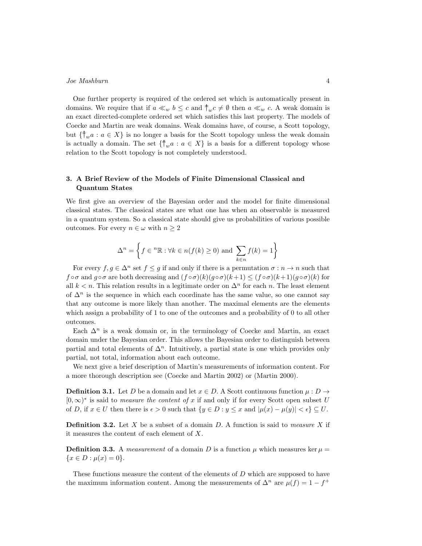One further property is required of the ordered set which is automatically present in domains. We require that if  $a \ll_w b \leq c$  and  $\uparrow_w c \neq \emptyset$  then  $a \ll_w c$ . A weak domain is an exact directed-complete ordered set which satisfies this last property. The models of Coecke and Martin are weak domains. Weak domains have, of course, a Scott topology, but  $\{\uparrow_w a : a \in X\}$  is no longer a basis for the Scott topology unless the weak domain is actually a domain. The set  $\{\uparrow_w a : a \in X\}$  is a basis for a different topology whose relation to the Scott topology is not completely understood.

## **3. A Brief Review of the Models of Finite Dimensional Classical and Quantum States**

We first give an overview of the Bayesian order and the model for finite dimensional classical states. The classical states are what one has when an observable is measured in a quantum system. So a classical state should give us probabilities of various possible outcomes. For every  $n \in \omega$  with  $n \geq 2$ 

$$
\Delta^n = \left\{ f \in \,^n\mathbb{R} : \forall k \in n(f(k) \ge 0) \text{ and } \sum_{k \in n} f(k) = 1 \right\}
$$

For every  $f, g \in \Delta^n$  set  $f \leq g$  if and only if there is a permutation  $\sigma : n \to n$  such that  $f \circ \sigma$  and  $g \circ \sigma$  are both decreasing and  $(f \circ \sigma)(k)(g \circ \sigma)(k+1) \leq (f \circ \sigma)(k+1)(g \circ \sigma)(k)$  for all  $k < n$ . This relation results in a legitimate order on  $\Delta^n$  for each *n*. The least element of  $\Delta^n$  is the sequence in which each coordinate has the same value, so one cannot say that any outcome is more likely than another. The maximal elements are the elements which assign a probability of 1 to one of the outcomes and a probability of 0 to all other outcomes.

Each  $\Delta^n$  is a weak domain or, in the terminology of Coecke and Martin, an exact domain under the Bayesian order. This allows the Bayesian order to distinguish between partial and total elements of ∆*<sup>n</sup>*. Intuitively, a partial state is one which provides only partial, not total, information about each outcome.

We next give a brief description of Martin's measurements of information content. For a more thorough description see (Coecke and Martin 2002) or (Martin 2000).

**Definition 3.1.** Let *D* be a domain and let  $x \in D$ . A Scott continuous function  $\mu : D \rightarrow$ [0*, ∞*) *∗* is said to *measure the content of x* if and only if for every Scott open subset *U* of D, if  $x \in U$  then there is  $\epsilon > 0$  such that  $\{y \in D : y \leq x \text{ and } |\mu(x) - \mu(y)| < \epsilon\} \subseteq U$ .

**Definition 3.2.** Let *X* be a subset of a domain *D*. A function is said to *measure X* if it measures the content of each element of *X*.

**Definition 3.3.** A *measurement* of a domain *D* is a function  $\mu$  which measures ker  $\mu$  ${x \in D : \mu(x) = 0}.$ 

These functions measure the content of the elements of *D* which are supposed to have the maximum information content. Among the measurements of  $\Delta^n$  are  $\mu(f) = 1 - f^+$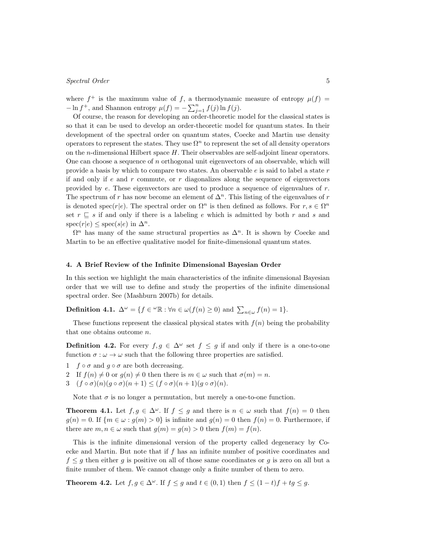where  $f^+$  is the maximum value of f, a thermodynamic measure of entropy  $\mu(f)$  =  $-\ln f^+$ , and Shannon entropy  $\mu(f) = -\sum_{j=1}^n f(j) \ln f(j)$ .

Of course, the reason for developing an order-theoretic model for the classical states is so that it can be used to develop an order-theoretic model for quantum states. In their development of the spectral order on quantum states, Coecke and Martin use density operators to represent the states. They use  $\Omega^n$  to represent the set of all density operators on the *n*-dimensional Hilbert space *H*. Their observables are self-adjoint linear operators. One can choose a sequence of *n* orthogonal unit eigenvectors of an observable, which will provide a basis by which to compare two states. An observable *e* is said to label a state *r* if and only if *e* and *r* commute, or *r* diagonalizes along the sequence of eigenvectors provided by *e*. These eigenvectors are used to produce a sequence of eigenvalues of *r*. The spectrum of  $r$  has now become an element of  $\Delta^n$ . This listing of the eigenvalues of  $r$ is denoted spec(*r*|*e*). The spectral order on  $\Omega^n$  is then defined as follows. For  $r, s \in \Omega^n$ set  $r \subseteq s$  if and only if there is a labeling *e* which is admitted by both *r* and *s* and  $\text{spec}(r|e) \leq \text{spec}(s|e) \text{ in } \Delta^n$ .

 $\Omega^n$  has many of the same structural properties as  $\Delta^n$ . It is shown by Coecke and Martin to be an effective qualitative model for finite-dimensional quantum states.

#### **4. A Brief Review of the Infinite Dimensional Bayesian Order**

In this section we highlight the main characteristics of the infinite dimensional Bayesian order that we will use to define and study the properties of the infinite dimensional spectral order. See (Mashburn 2007b) for details.

**Definition 4.1.**  $\Delta^{\omega} = \{f \in {}^{\omega} \mathbb{R} : \forall n \in \omega(f(n) \ge 0) \text{ and } \sum_{n \in \omega} f(n) = 1\}.$ 

These functions represent the classical physical states with  $f(n)$  being the probability that one obtains outcome *n*.

**Definition 4.2.** For every  $f, g \in \Delta^{\omega}$  set  $f \leq g$  if and only if there is a one-to-one function  $\sigma : \omega \to \omega$  such that the following three properties are satisfied.

- 1  $f \circ \sigma$  and  $g \circ \sigma$  are both decreasing.
- 2 If  $f(n) \neq 0$  or  $g(n) \neq 0$  then there is  $m \in \omega$  such that  $\sigma(m) = n$ .
- $3 \left( f \circ \sigma \right) (n) (g \circ \sigma)(n+1) \leq (f \circ \sigma)(n+1) (g \circ \sigma)(n).$

Note that  $\sigma$  is no longer a permutation, but merely a one-to-one function.

**Theorem 4.1.** Let  $f, g \in \Delta^{\omega}$ . If  $f \leq g$  and there is  $n \in \omega$  such that  $f(n) = 0$  then  $g(n) = 0$ . If  $\{m \in \omega : g(m) > 0\}$  is infinite and  $g(n) = 0$  then  $f(n) = 0$ . Furthermore, if there are  $m, n \in \omega$  such that  $g(m) = g(n) > 0$  then  $f(m) = f(n)$ .

This is the infinite dimensional version of the property called degeneracy by Coecke and Martin. But note that if *f* has an infinite number of positive coordinates and  $f \leq g$  then either *g* is positive on all of those same coordinates or *g* is zero on all but a finite number of them. We cannot change only a finite number of them to zero.

**Theorem 4.2.** Let  $f, g \in \Delta^{\omega}$ . If  $f \leq g$  and  $t \in (0,1)$  then  $f \leq (1-t)f + tg \leq g$ .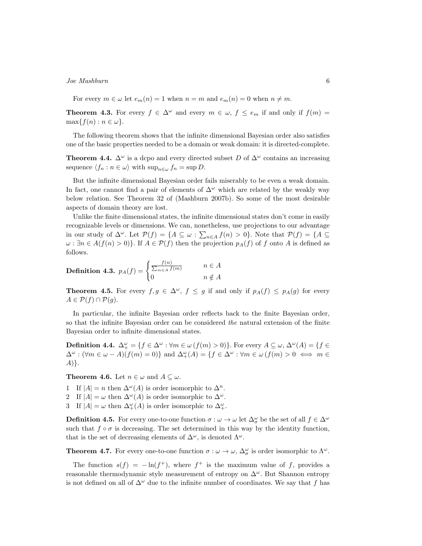For every  $m \in \omega$  let  $e_m(n) = 1$  when  $n = m$  and  $e_m(n) = 0$  when  $n \neq m$ .

**Theorem 4.3.** For every  $f \in \Delta^{\omega}$  and every  $m \in \omega$ ,  $f \leq e_m$  if and only if  $f(m) =$  $\max\{f(n): n \in \omega\}.$ 

The following theorem shows that the infinite dimensional Bayesian order also satisfies one of the basic properties needed to be a domain or weak domain: it is directed-complete.

**Theorem 4.4.**  $\Delta^{\omega}$  is a dcpo and every directed subset *D* of  $\Delta^{\omega}$  contains an increasing sequence  $\langle f_n : n \in \omega \rangle$  with  $\sup_{n \in \omega} f_n = \sup D$ .

But the infinite dimensional Bayesian order fails miserably to be even a weak domain. In fact, one cannot find a pair of elements of  $\Delta^{\omega}$  which are related by the weakly way below relation. See Theorem 32 of (Mashburn 2007b). So some of the most desirable aspects of domain theory are lost.

Unlike the finite dimensional states, the infinite dimensional states don't come in easily recognizable levels or dimensions. We can, nonetheless, use projections to our advantage in our study of  $\Delta^{\omega}$ . Let  $\mathcal{P}(f) = \{A \subseteq \omega : \sum_{n \in A} f(n) > 0\}$ . Note that  $\mathcal{P}(f) = \{A \subseteq \omega : \sum_{n \in A} f(n) > 0\}$ .  $\omega$  :  $\exists n \in A(f(n) > 0)$ *}*. If  $A \in \mathcal{P}(f)$  then the projection  $p_A(f)$  of *f* onto *A* is defined as follows.

**Definition 4.3.** 
$$
p_A(f) = \begin{cases} \frac{f(n)}{\sum_{m \in A} f(m)} & n \in A \\ 0 & n \notin A \end{cases}
$$

**Theorem 4.5.** For every  $f, g \in \Delta^{\omega}$ ,  $f \leq g$  if and only if  $p_A(f) \leq p_A(g)$  for every  $A ∈ P(f ∩ P(g).$ 

In particular, the infinite Bayesian order reflects back to the finite Bayesian order, so that the infinite Bayesian order can be considered *the* natural extension of the finite Bayesian order to infinite dimensional states.

**Definition 4.4.**  $\Delta_{+}^{\omega} = \{ f \in \Delta^{\omega} : \forall m \in \omega \ (f(m) > 0) \}.$  For every  $A \subseteq \omega$ ,  $\Delta^{\omega}(A) = \{ f \in A \}$  $\Delta^{\omega}$ :  $(\forall m \in \omega - A)(f(m) = 0)$ } and  $\Delta^{\omega}_{+}(A) = \{f \in \Delta^{\omega} : \forall m \in \omega \ (f(m) > 0 \iff m \in \Delta^{\omega})\}$ *A*)*}*.

**Theorem 4.6.** Let  $n \in \omega$  and  $A \subseteq \omega$ .

1 If  $|A| = n$  then  $\Delta^{\omega}(A)$  is order isomorphic to  $\Delta^{n}$ .

2 If  $|A| = \omega$  then  $\Delta^{\omega}(A)$  is order isomorphic to  $\Delta^{\omega}$ .

3 If  $|A| = \omega$  then  $\Delta_+^{\omega}(A)$  is order isomorphic to  $\Delta_+^{\omega}$ .

**Definition 4.5.** For every one-to-one function  $\sigma : \omega \to \omega$  let  $\Delta^{\omega}_{\sigma}$  be the set of all  $f \in \Delta^{\omega}$ such that  $f \circ \sigma$  is decreasing. The set determined in this way by the identity function, that is the set of decreasing elements of  $\Delta^{\omega}$ , is denoted  $\Lambda^{\omega}$ .

**Theorem 4.7.** For every one-to-one function  $\sigma : \omega \to \omega$ ,  $\Delta_{\sigma}^{\omega}$  is order isomorphic to  $\Lambda^{\omega}$ .

The function  $s(f) = -\ln(f^+)$ , where  $f^+$  is the maximum value of f, provides a reasonable thermodynamic style measurement of entropy on  $\Delta^{\omega}$ . But Shannon entropy is not defined on all of ∆*<sup>ω</sup>* due to the infinite number of coordinates. We say that *f* has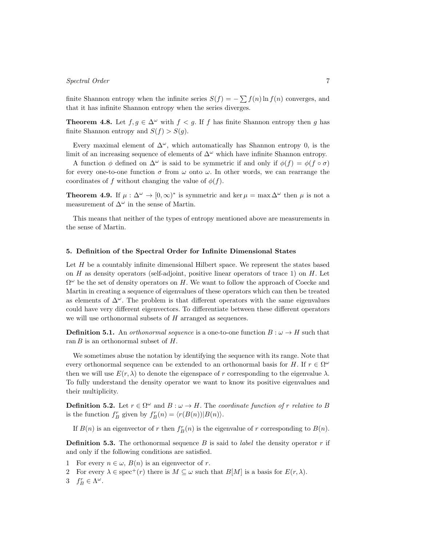finite Shannon entropy when the infinite series  $S(f) = -\sum f(n) \ln f(n)$  converges, and that it has infinite Shannon entropy when the series diverges.

**Theorem 4.8.** Let  $f, g \in \Delta^{\omega}$  with  $f < g$ . If *f* has finite Shannon entropy then *g* has finite Shannon entropy and  $S(f) > S(g)$ .

Every maximal element of  $\Delta^{\omega}$ , which automatically has Shannon entropy 0, is the limit of an increasing sequence of elements of ∆*<sup>ω</sup>* which have infinite Shannon entropy.

A function  $\phi$  defined on  $\Delta^{\omega}$  is said to be symmetric if and only if  $\phi(f) = \phi(f \circ \sigma)$ for every one-to-one function  $\sigma$  from  $\omega$  onto  $\omega$ . In other words, we can rearrange the coordinates of *f* without changing the value of  $\phi(f)$ .

**Theorem 4.9.** If  $\mu : \Delta^{\omega} \to [0, \infty)^*$  is symmetric and ker  $\mu = \max \Delta^{\omega}$  then  $\mu$  is not a measurement of  $\Delta^{\omega}$  in the sense of Martin.

This means that neither of the types of entropy mentioned above are measurements in the sense of Martin.

#### **5. Definition of the Spectral Order for Infinite Dimensional States**

Let *H* be a countably infinite dimensional Hilbert space. We represent the states based on *H* as density operators (self-adjoint, positive linear operators of trace 1) on *H*. Let Ω *<sup>ω</sup>* be the set of density operators on *H*. We want to follow the approach of Coecke and Martin in creating a sequence of eigenvalues of these operators which can then be treated as elements of ∆*<sup>ω</sup>*. The problem is that different operators with the same eigenvalues could have very different eigenvectors. To differentiate between these different operators we will use orthonormal subsets of *H* arranged as sequences.

**Definition 5.1.** An *orthonormal sequence* is a one-to-one function  $B: \omega \to H$  such that ran *B* is an orthonormal subset of *H*.

We sometimes abuse the notation by identifying the sequence with its range. Note that every orthonormal sequence can be extended to an orthonormal basis for *H*. If  $r \in \Omega^{\omega}$ then we will use  $E(r, \lambda)$  to denote the eigenspace of r corresponding to the eigenvalue  $\lambda$ . To fully understand the density operator we want to know its positive eigenvalues and their multiplicity.

**Definition 5.2.** Let  $r \in \Omega^{\omega}$  and  $B : \omega \to H$ . The *coordinate function of r relative to B* is the function  $f_B^r$  given by  $f_B^r(n) = \langle r(B(n))|B(n) \rangle$ .

If  $B(n)$  is an eigenvector of  $r$  then  $f_B^r(n)$  is the eigenvalue of  $r$  corresponding to  $B(n)$ .

**Definition 5.3.** The orthonormal sequence *B* is said to *label* the density operator *r* if and only if the following conditions are satisfied.

- 1 For every  $n \in \omega$ ,  $B(n)$  is an eigenvector of *r*.
- 2 For every  $\lambda \in \text{spec}^+(r)$  there is  $M \subseteq \omega$  such that  $B[M]$  is a basis for  $E(r, \lambda)$ .
- 3  $f_B^r \in \Lambda^\omega$ .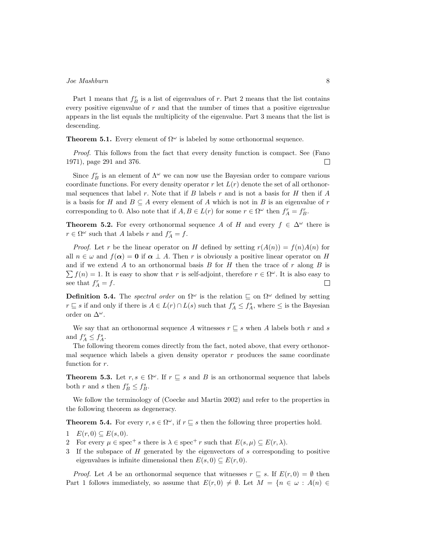Part 1 means that  $f_B^r$  is a list of eigenvalues of  $r$ . Part 2 means that the list contains every positive eigenvalue of *r* and that the number of times that a positive eigenvalue appears in the list equals the multiplicity of the eigenvalue. Part 3 means that the list is descending.

**Theorem 5.1.** Every element of  $\Omega^{\omega}$  is labeled by some orthonormal sequence.

*Proof.* This follows from the fact that every density function is compact. See (Fano 1971), page 291 and 376.  $\Box$ 

Since  $f_B^r$  is an element of  $\Lambda^\omega$  we can now use the Bayesian order to compare various coordinate functions. For every density operator  $r$  let  $L(r)$  denote the set of all orthonormal sequences that label *r*. Note that if *B* labels *r* and is not a basis for *H* then if *A* is a basis for *H* and  $B \subseteq A$  every element of *A* which is not in *B* is an eigenvalue of *r* corresponding to 0. Also note that if  $A, B \in L(r)$  for some  $r \in \Omega^{\omega}$  then  $f_A^r = f_B^r$ .

**Theorem 5.2.** For every orthonormal sequence *A* of *H* and every  $f \in \Delta^{\omega}$  there is  $r \in \Omega^{\omega}$  such that *A* labels *r* and  $f_A^r = f$ .

*Proof.* Let *r* be the linear operator on *H* defined by setting  $r(A(n)) = f(n)A(n)$  for all  $n \in \omega$  and  $f(\alpha) = 0$  if  $\alpha \perp A$ . Then r is obviously a positive linear operator on *H* and if we extend *A* to an orthonormal basis *B* for *H* then the trace of *r* along *B* is  $\sum f(n) = 1$ . It is easy to show that *r* is self-adjoint, therefore  $r \in \Omega^{\omega}$ . It is also easy to see that  $f_A^r = f$ .  $\Box$ 

**Definition 5.4.** The *spectral order* on  $\Omega^{\omega}$  is the relation  $\subseteq$  on  $\Omega^{\omega}$  defined by setting *r*  $\subseteq$  *s* if and only if there is *A* ∈ *L*(*r*) ∩ *L*(*s*) such that  $f_A^r \le f_A^s$ , where  $\le$  is the Bayesian order on ∆*<sup>ω</sup>*.

We say that an orthonormal sequence *A* witnesses  $r \subseteq s$  when *A* labels both *r* and *s* and  $f_A^r \leq f_A^s$ .

The following theorem comes directly from the fact, noted above, that every orthonormal sequence which labels a given density operator *r* produces the same coordinate function for *r*.

**Theorem 5.3.** Let  $r, s \in \Omega^\omega$ . If  $r \subseteq s$  and *B* is an orthonormal sequence that labels both *r* and *s* then  $f_B^r \leq f_B^s$ .

We follow the terminology of (Coecke and Martin 2002) and refer to the properties in the following theorem as degeneracy.

**Theorem 5.4.** For every  $r, s \in \Omega^\omega$ , if  $r \subseteq s$  then the following three properties hold.

- 1  $E(r, 0) \subseteq E(s, 0).$
- 2 For every  $\mu \in \text{spec}^+ s$  there is  $\lambda \in \text{spec}^+ r$  such that  $E(s, \mu) \subseteq E(r, \lambda)$ .
- 3 If the subspace of *H* generated by the eigenvectors of *s* corresponding to positive eigenvalues is infinite dimensional then  $E(s, 0) \subseteq E(r, 0)$ .

*Proof.* Let *A* be an orthonormal sequence that witnesses  $r \subseteq s$ . If  $E(r, 0) = \emptyset$  then Part 1 follows immediately, so assume that  $E(r, 0) \neq \emptyset$ . Let  $M = \{n \in \omega : A(n) \in$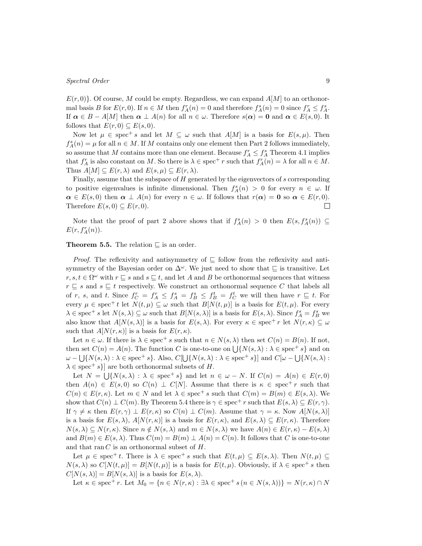$E(r,0)$ . Of course, *M* could be empty. Regardless, we can expand  $A|M|$  to an orthonormal basis B for  $E(r,0)$ . If  $n \in M$  then  $f_A^r(n) = 0$  and therefore  $f_A^s(n) = 0$  since  $f_A^r \le f_A^s$ . If  $\alpha \in B - A[M]$  then  $\alpha \perp A(n)$  for all  $n \in \omega$ . Therefore  $s(\alpha) = 0$  and  $\alpha \in E(s, 0)$ . It follows that  $E(r, 0) \subseteq E(s, 0)$ .

Now let  $\mu \in \text{spec}^+ s$  and let  $M \subseteq \omega$  such that  $A[M]$  is a basis for  $E(s, \mu)$ . Then  $f_A^s(n) = \mu$  for all  $n \in M$ . If *M* contains only one element then Part 2 follows immediately, so assume that *M* contains more than one element. Because  $f_A^r \leq f_A^s$  Theorem 4.1 implies that  $f_A^r$  is also constant on *M*. So there is  $\lambda \in \text{spec}^+ r$  such that  $f_A^r(n) = \lambda$  for all  $n \in M$ . Thus  $A[M] \subseteq E(r, \lambda)$  and  $E(s, \mu) \subseteq E(r, \lambda)$ .

Finally, assume that the subspace of *H* generated by the eigenvectors of *s* corresponding to positive eigenvalues is infinite dimensional. Then  $f_A^s(n) > 0$  for every  $n \in \omega$ . If  $\alpha \in E(s, 0)$  then  $\alpha \perp A(n)$  for every  $n \in \omega$ . If follows that  $r(\alpha) = 0$  so  $\alpha \in E(r, 0)$ . Therefore  $E(s, 0) \subseteq E(r, 0)$ .  $\Box$ 

Note that the proof of part 2 above shows that if  $f_A^s(n) > 0$  then  $E(s, f_A^s(n)) \subseteq$  $E(r, f_A^r(n)).$ 

#### **Theorem 5.5.** The relation *⊑* is an order.

*Proof.* The reflexivity and antisymmetry of  $\subseteq$  follow from the reflexivity and antisymmetry of the Bayesian order on ∆*<sup>ω</sup>*. We just need to show that *⊑* is transitive. Let *r*, *s*, *t* ∈  $\Omega^{\omega}$  with *r*  $\subseteq$  *s* and *s*  $\subseteq$  *t*, and let *A* and *B* be orthonormal sequences that witness *r ⊑ s* and *s ⊑ t* respectively. We construct an orthonormal sequence *C* that labels all of r, s, and t. Since  $f_C^r = f_A^r \leq f_A^s = f_B^s \leq f_B^t = f_C^t$  we will then have  $r \subseteq t$ . For every  $\mu \in \text{spec}^+ t$  let  $N(t, \mu) \subseteq \omega$  such that  $B[N(t, \mu)]$  is a basis for  $E(t, \mu)$ . For every  $\lambda \in \text{spec}^+ \, s \text{ let } N(s, \lambda) \subseteq \omega \text{ such that } B[N(s, \lambda)] \text{ is a basis for } E(s, \lambda)$ . Since  $f_A^s = f_B^s$  we also know that  $A[N(s,\lambda)]$  is a basis for  $E(s,\lambda)$ . For every  $\kappa \in \operatorname{spec}^+ r$  let  $N(r,\kappa) \subseteq \omega$ such that  $A[N(r, \kappa)]$  is a basis for  $E(r, \kappa)$ .

Let  $n \in \omega$ . If there is  $\lambda \in \text{spec}^+ s$  such that  $n \in N(s, \lambda)$  then set  $C(n) = B(n)$ . If not, then set  $C(n) = A(n)$ . The function *C* is one-to-one on  $\bigcup \{ N(s, \lambda) : \lambda \in \text{spec}^+ s \}$  and on  $\omega - \bigcup \{ N(s, \lambda) : \lambda \in \text{spec}^+ \, s \}.$  Also,  $C[\bigcup \{ N(s, \lambda) : \lambda \in \text{spec}^+ \, s \}]$  and  $C[\omega - \bigcup \{ N(s, \lambda) : \lambda \in \text{spec}^+ \, s \}]$  $\lambda \in \text{spec}^+ s$ } are both orthonormal subsets of *H*.

Let  $N = \bigcup \{N(s,\lambda) : \lambda \in \text{spec}^+ s\}$  and let  $n \in \omega - N$ . If  $C(n) = A(n) \in E(r,0)$ then  $A(n) \in E(s, 0)$  so  $C(n) \perp C[N]$ . Assume that there is  $\kappa \in \text{spec}^+ r$  such that  $C(n) \in E(r, \kappa)$ . Let  $m \in N$  and let  $\lambda \in \text{spec}^+ s$  such that  $C(m) = B(m) \in E(s, \lambda)$ . We show that  $C(n) \perp C(m)$ . By Theorem 5.4 there is  $\gamma \in \text{spec}^+$  *r* such that  $E(s, \lambda) \subseteq E(r, \gamma)$ . If  $\gamma \neq \kappa$  then  $E(r, \gamma) \perp E(r, \kappa)$  so  $C(n) \perp C(m)$ . Assume that  $\gamma = \kappa$ . Now  $A[N(s, \lambda)]$ is a basis for  $E(s, \lambda)$ ,  $A[N(r, \kappa)]$  is a basis for  $E(r, \kappa)$ , and  $E(s, \lambda) \subseteq E(r, \kappa)$ . Therefore  $N(s,\lambda) \subseteq N(r,\kappa)$ . Since  $n \notin N(s,\lambda)$  and  $m \in N(s,\lambda)$  we have  $A(n) \in E(r,\kappa) - E(s,\lambda)$ and  $B(m) \in E(s, \lambda)$ . Thus  $C(m) = B(m) \perp A(n) = C(n)$ . It follows that C is one-to-one and that ran *C* is an orthonormal subset of *H*.

Let  $\mu \in \text{spec}^+ t$ . There is  $\lambda \in \text{spec}^+ s$  such that  $E(t, \mu) \subseteq E(s, \lambda)$ . Then  $N(t, \mu) \subseteq$  $N(s, \lambda)$  so  $C[N(t, \mu)] = B[N(t, \mu)]$  is a basis for  $E(t, \mu)$ . Obviously, if  $\lambda \in \text{spec}^+ s$  then  $C[N(s,\lambda)] = B[N(s,\lambda)]$  is a basis for  $E(s,\lambda)$ .

Let  $\kappa \in \text{spec}^+ r$ . Let  $M_0 = \{n \in N(r, \kappa) : \exists \lambda \in \text{spec}^+ s (n \in N(s, \lambda))\} = N(r, \kappa) \cap N$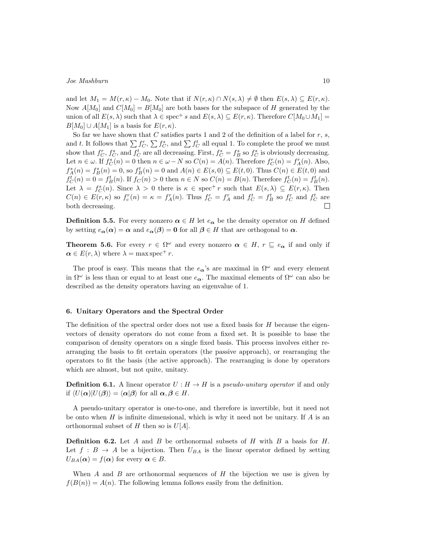and let  $M_1 = M(r, \kappa) - M_0$ . Note that if  $N(r, \kappa) \cap N(s, \lambda) \neq \emptyset$  then  $E(s, \lambda) \subseteq E(r, \kappa)$ . Now  $A[M_0]$  and  $C[M_0] = B[M_0]$  are both bases for the subspace of *H* generated by the union of all  $E(s, \lambda)$  such that  $\lambda \in \text{spec}^+ s$  and  $E(s, \lambda) \subseteq E(r, \kappa)$ . Therefore  $C[M_0 \cup M_1] =$  $B[M_0] \cup A[M_1]$  is a basis for  $E(r, \kappa)$ .

So far we have shown that *C* satisfies parts 1 and 2 of the definition of a label for *r*, *s*, and *t*. It follows that  $\sum f_C^r$ ,  $\sum f_C^s$ , and  $\sum f_C^t$  all equal 1. To complete the proof we must show that  $f_C^r, f_C^s$ , and  $f_C^t$  are all decreasing. First,  $f_C^s = f_B^s$  so  $f_C^s$  is obviously decreasing. Let  $n \in \omega$ . If  $f_C^s(n) = 0$  then  $n \in \omega - N$  so  $C(n) = A(n)$ . Therefore  $f_C^r(n) = f_A^r(n)$ . Also,  $f_A^s(n) = f_B^s(n) = 0$ , so  $f_B^t(n) = 0$  and  $A(n) \in E(s, 0) \subseteq E(t, 0)$ . Thus  $C(n) \in E(t, 0)$  and  $f_C^t(n) = 0 = f_B^t(n)$ . If  $f_C(n) > 0$  then  $n \in N$  so  $C(n) = B(n)$ . Therefore  $f_C^t(n) = f_B^t(n)$ . Let  $\lambda = f_C^s(n)$ . Since  $\lambda > 0$  there is  $\kappa \in \text{spec}^+ r$  such that  $E(s, \lambda) \subseteq E(r, \kappa)$ . Then  $C(n) \in E(r,\kappa)$  so  $f_c^r(n) = \kappa = f_A^r(n)$ . Thus  $f_C^r = f_A^r$  and  $f_C^t = f_B^t$  so  $f_C^r$  and  $f_C^t$  are both decreasing. П

**Definition 5.5.** For every nonzero  $\alpha \in H$  let  $e_{\alpha}$  be the density operator on *H* defined by setting  $e_{\alpha}(\alpha) = \alpha$  and  $e_{\alpha}(\beta) = 0$  for all  $\beta \in H$  that are orthogonal to  $\alpha$ .

**Theorem 5.6.** For every  $r \in \Omega^{\omega}$  and every nonzero  $\alpha \in H$ ,  $r \subseteq e_{\alpha}$  if and only if  $\alpha \in E(r, \lambda)$  where  $\lambda = \max \operatorname{spec}^+ r$ .

The proof is easy. This means that the  $e_{\alpha}$ 's are maximal in  $\Omega^{\omega}$  and every element in  $\Omega^{\omega}$  is less than or equal to at least one  $e_{\alpha}$ . The maximal elements of  $\Omega^{\omega}$  can also be described as the density operators having an eigenvalue of 1.

#### **6. Unitary Operators and the Spectral Order**

The definition of the spectral order does not use a fixed basis for *H* because the eigenvectors of density operators do not come from a fixed set. It is possible to base the comparison of density operators on a single fixed basis. This process involves either rearranging the basis to fit certain operators (the passive approach), or rearranging the operators to fit the basis (the active approach). The rearranging is done by operators which are almost, but not quite, unitary.

**Definition 6.1.** A linear operator  $U : H \to H$  is a *pseudo-unitary operator* if and only if  $\langle U(\alpha)|U(\beta)\rangle = \langle \alpha|\beta\rangle$  for all  $\alpha, \beta \in H$ .

A pseudo-unitary operator is one-to-one, and therefore is invertible, but it need not be onto when *H* is infinite dimensional, which is why it need not be unitary. If *A* is an orthonormal subset of *H* then so is *U*[*A*].

**Definition 6.2.** Let *A* and *B* be orthonormal subsets of *H* with *B* a basis for *H*. Let  $f : B \to A$  be a bijection. Then  $U_{BA}$  is the linear operator defined by setting  $U_{BA}(\alpha) = f(\alpha)$  for every  $\alpha \in B$ .

When *A* and *B* are orthonormal sequences of *H* the bijection we use is given by  $f(B(n)) = A(n)$ . The following lemma follows easily from the definition.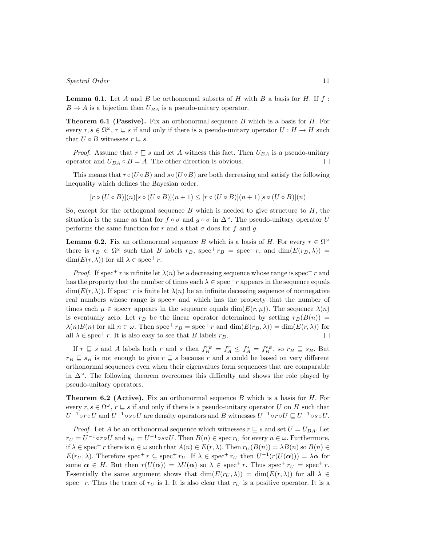**Lemma 6.1.** Let *A* and *B* be orthonormal subsets of *H* with *B* a basis for *H*. If *f* :  $B \to A$  is a bijection then  $U_{BA}$  is a pseudo-unitary operator.

**Theorem 6.1 (Passive).** Fix an orthonormal sequence *B* which is a basis for *H*. For every  $r, s \in \Omega^\omega$ ,  $r \sqsubseteq s$  if and only if there is a pseudo-unitary operator  $U : H \to H$  such that  $U \circ B$  witnesses  $r \sqsubseteq s$ .

*Proof.* Assume that  $r \subseteq s$  and let *A* witness this fact. Then  $U_{BA}$  is a pseudo-unitary operator and  $U_{BA} \circ B = A$ . The other direction is obvious.  $\Box$ 

This means that  $r \circ (U \circ B)$  and  $s \circ (U \circ B)$  are both decreasing and satisfy the following inequality which defines the Bayesian order.

$$
[r \circ (U \circ B)](n)[s \circ (U \circ B)](n+1) \leq [r \circ (U \circ B)](n+1)[s \circ (U \circ B)](n)
$$

So, except for the orthogonal sequence *B* which is needed to give structure to *H*, the situation is the same as that for  $f \circ \sigma$  and  $g \circ \sigma$  in  $\Delta^{\omega}$ . The pseudo-unitary operator *U* performs the same function for *r* and *s* that  $\sigma$  does for *f* and *q*.

**Lemma 6.2.** Fix an orthonormal sequence *B* which is a basis of *H*. For every  $r \in \Omega^{\omega}$ there is  $r_B \in \Omega^{\omega}$  such that *B* labels  $r_B$ , spec<sup>+</sup>  $r_B$  = spec<sup>+</sup> *r*, and dim( $E(r_B, \lambda)$ ) =  $\dim(E(r,\lambda))$  for all  $\lambda \in \text{spec}^+ r$ .

*Proof.* If spec<sup>+</sup> *r* is infinite let  $\lambda(n)$  be a decreasing sequence whose range is spec<sup>+</sup> *r* and has the property that the number of times each  $\lambda \in \text{spec}^+ r$  appears in the sequence equals  $\dim(E(r,\lambda))$ . If spec<sup>+</sup> *r* is finite let  $\lambda(n)$  be an infinite deceasing sequence of nonnegative real numbers whose range is spec *r* and which has the property that the number of times each  $\mu \in \text{spec } r$  appears in the sequence equals dim( $E(r, \mu)$ ). The sequence  $\lambda(n)$ is eventually zero. Let  $r_B$  be the linear operator determined by setting  $r_B(B(n))$  =  $\lambda(n)B(n)$  for all  $n \in \omega$ . Then spec<sup>+</sup>  $r_B$  = spec<sup>+</sup>  $r$ </sup> and dim( $E(r_B, \lambda)$ ) = dim( $E(r, \lambda)$ ) for all  $\lambda \in \text{spec}^+ r$ . It is also easy to see that *B* labels  $r_B$ .  $\Box$ 

If  $r \subseteq s$  and A labels both r and s then  $f_B^{r_B} = f_A^r \leq f_A^s = f_B^{s_B}$ , so  $r_B \subseteq s_B$ . But  $r_B \subseteq s_B$  is not enough to give  $r \subseteq s$  because *r* and *s* could be based on very different orthonormal sequences even when their eigenvalues form sequences that are comparable in ∆*<sup>ω</sup>*. The following theorem overcomes this difficulty and shows the role played by pseudo-unitary operators.

**Theorem 6.2 (Active).** Fix an orthonormal sequence *B* which is a basis for *H*. For every  $r, s \in \Omega^{\omega}, r \sqsubseteq s$  if and only if there is a pseudo-unitary operator *U* on *H* such that  $U^{-1}$ о $r$ о $U$  and  $U^{-1}$ о $s$ о $U$  are density operators and  $B$  witnesses  $U^{-1}$ о $r$ о $U \sqsubseteq U^{-1}$ о $s$ о $U.$ 

*Proof.* Let *A* be an orthonormal sequence which witnesses  $r \subseteq s$  and set  $U = U_{BA}$ . Let  $r_U = U^{-1} \circ r \circ U$  and  $s_U = U^{-1} \circ s \circ U$ . Then  $B(n) \in \text{spec } r_U$  for every  $n \in \omega$ . Furthermore, if  $\lambda \in \operatorname{spec}^+ r$  there is  $n \in \omega$  such that  $A(n) \in E(r, \lambda)$ . Then  $r_U(B(n)) = \lambda B(n)$  so  $B(n) \in E(r, \lambda)$ . *E*( $r_U, \lambda$ ). Therefore spec<sup>+</sup>  $r \subseteq$  spec<sup>+</sup>  $r_U$ . If  $\lambda \in$  spec<sup>+</sup>  $r_U$  then  $U^{-1}(r(U(\alpha))) = \lambda \alpha$  for some  $\alpha \in H$ . But then  $r(U(\alpha)) = \lambda U(\alpha)$  so  $\lambda \in \text{spec}^+ r$ . Thus spec<sup>+</sup>  $r_U = \text{spec}^+ r$ . Essentially the same argument shows that  $\dim(E(r_U, \lambda)) = \dim(E(r, \lambda))$  for all  $\lambda \in$ spec<sup>+</sup> *r*. Thus the trace of  $r<sub>U</sub>$  is 1. It is also clear that  $r<sub>U</sub>$  is a positive operator. It is a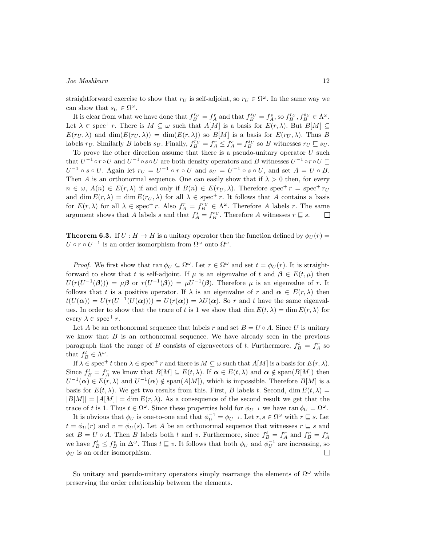straightforward exercise to show that  $r_U$  is self-adjoint, so  $r_U \in \Omega^\omega$ . In the same way we can show that  $s_U \in \Omega^\omega$ .

It is clear from what we have done that  $f_B^{rv} = f_A^r$  and that  $f_B^{sv} = f_A^s$ , so  $f_B^{rv}, f_B^{sv} \in \Lambda^\omega$ . Let  $\lambda \in \text{spec}^+ r$ . There is  $M \subseteq \omega$  such that  $A[M]$  is a basis for  $E(r, \lambda)$ . But  $B[M] \subseteq$  $E(r_U, \lambda)$  and  $\dim(E(r_U, \lambda)) = \dim(E(r, \lambda))$  so  $B[M]$  is a basis for  $E(r_U, \lambda)$ . Thus *B* labels  $r_U$ . Similarly B labels  $s_U$ . Finally,  $f_B^{r_U} = f_A^r \leq f_A^s = f_B^{s_U}$  so B witnesses  $r_U \sqsubseteq s_U$ .

To prove the other direction assume that there is a pseudo-unitary operator *U* such that  $U^{-1} \circ r \circ U$  and  $U^{-1} \circ s \circ U$  are both density operators and B witnesses  $U^{-1} \circ r \circ U \sqsubseteq$  $U^{-1} \circ s \circ U$ . Again let  $r_U = U^{-1} \circ r \circ U$  and  $s_U = U^{-1} \circ s \circ U$ , and set  $A = U \circ B$ . Then *A* is an orthonormal sequence. One can easily show that if  $\lambda > 0$  then, for every  $n \in \omega$ ,  $A(n) \in E(r, \lambda)$  if and only if  $B(n) \in E(r_U, \lambda)$ . Therefore spec<sup>+</sup>  $r =$  spec<sup>+</sup>  $r_U$ and dim  $E(r, \lambda) = \dim E(r_U, \lambda)$  for all  $\lambda \in \text{spec}^+ r$ . It follows that *A* contains a basis for  $E(r, \lambda)$  for all  $\lambda \in \text{spec}^+ r$ . Also  $f_A^r = f_B^{r_U} \in \Lambda^\omega$ . Therefore *A* labels *r*. The same argument shows that *A* labels *s* and that  $f_A^s = f_B^{s_U}$ . Therefore *A* witnesses  $r \subseteq s$ .  $\Box$ 

**Theorem 6.3.** If  $U : H \to H$  is a unitary operator then the function defined by  $\phi_U(r)$  $U \circ r \circ U^{-1}$  is an order isomorphism from  $\Omega^{\omega}$  onto  $\Omega^{\omega}$ .

*Proof.* We first show that  $\text{ran } \phi_U \subseteq \Omega^\omega$ . Let  $r \in \Omega^\omega$  and set  $t = \phi_U(r)$ . It is straightforward to show that *t* is self-adjoint. If  $\mu$  is an eigenvalue of *t* and  $\beta \in E(t, \mu)$  then  $U(r(U^{-1}(\beta))) = \mu \beta$  or  $r(U^{-1}(\beta)) = \mu U^{-1}(\beta)$ . Therefore  $\mu$  is an eigenvalue of *r*. It follows that *t* is a positive operator. If  $\lambda$  is an eigenvalue of *r* and  $\alpha \in E(r, \lambda)$  then  $t(U(\alpha)) = U(r(U^{-1}(U(\alpha)))) = U(r(\alpha)) = \lambda U(\alpha)$ . So *r* and *t* have the same eigenvalues. In order to show that the trace of *t* is 1 we show that dim  $E(t, \lambda) = \dim E(r, \lambda)$  for every  $\lambda \in \text{spec}^+ r$ .

Let *A* be an orthonormal sequence that labels *r* and set  $B = U \circ A$ . Since *U* is unitary we know that  $B$  is an orthonormal sequence. We have already seen in the previous paragraph that the range of *B* consists of eigenvectors of *t*. Furthermore,  $f_B^t = f_A^r$  so that  $f_B^t \in \Lambda^\omega$ .

If  $\lambda \in \text{spec}^+ t$  then  $\lambda \in \text{spec}^+ r$  and there is  $M \subseteq \omega$  such that  $A[M]$  is a basis for  $E(r, \lambda)$ . Since  $f_B^t = f_A^r$  we know that  $B[M] \subseteq E(t, \lambda)$ . If  $\alpha \in E(t, \lambda)$  and  $\alpha \notin \text{span}(B[M])$  then  $U^{-1}(\alpha) \in E(r, \lambda)$  and  $U^{-1}(\alpha) \notin \text{span}(A[M])$ , which is impossible. Therefore *B*[*M*] is a basis for  $E(t, \lambda)$ . We get two results from this. First, *B* labels *t*. Second, dim  $E(t, \lambda) =$  $|B[M]| = |A[M]| = \dim E(r, \lambda)$ . As a consequence of the second result we get that the trace of *t* is 1. Thus  $t \in \Omega^{\omega}$ . Since these properties hold for  $\phi_{U^{-1}}$  we have ran  $\phi_{U} = \Omega^{\omega}$ .

It is obvious that  $\phi_U$  is one-to-one and that  $\phi_U^{-1} = \phi_{U^{-1}}$ . Let  $r, s \in \Omega^\omega$  with  $r \sqsubseteq s$ . Let  $t = \phi_U(r)$  and  $v = \phi_U(s)$ . Let *A* be an orthonormal sequence that witnesses  $r \subseteq s$  and set  $B = U \circ A$ . Then B labels both t and v. Furthermore, since  $f_B^t = f_A^r$  and  $f_B^v = f_A^s$ we have  $f_B^t \leq f_B^v$  in  $\Delta^\omega$ . Thus  $t \sqsubseteq v$ . It follows that both  $\phi_U$  and  $\phi_U^{-1}$  are increasing, so  $\phi_{U}$  is an order isomorphism.  $\Box$ 

So unitary and pseudo-unitary operators simply rearrange the elements of  $\Omega^{\omega}$  while preserving the order relationship between the elements.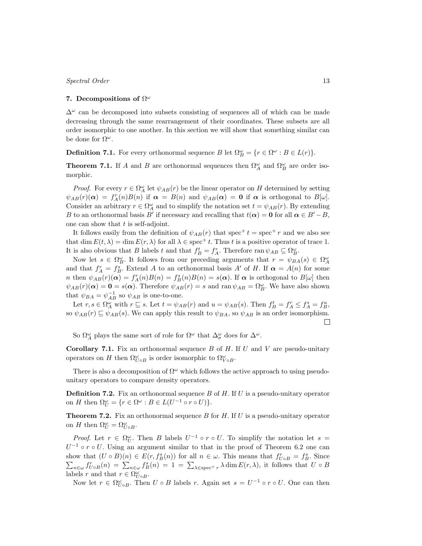## **7. Decompositions of** Ω *ω*

∆*<sup>ω</sup>* can be decomposed into subsets consisting of sequences all of which can be made decreasing through the same rearrangement of their coordinates. These subsets are all order isomorphic to one another. In this section we will show that something similar can be done for  $\Omega^{\omega}$ .

**Definition 7.1.** For every orthonormal sequence *B* let  $\Omega_B^{\omega} = \{r \in \Omega^{\omega} : B \in L(r)\}.$ 

**Theorem 7.1.** If *A* and *B* are orthonormal sequences then  $\Omega^{\omega}_A$  and  $\Omega^{\omega}_B$  are order isomorphic.

*Proof.* For every  $r \in \Omega_A^{\omega}$  let  $\psi_{AB}(r)$  be the linear operator on *H* determined by setting  $\psi_{AB}(r)(\alpha) = f_A^r(n)B(n)$  if  $\alpha = B(n)$  and  $\psi_{AB}(\alpha) = 0$  if  $\alpha$  is orthogonal to  $B[\omega]$ . Consider an arbitrary  $r \in \Omega_A^{\omega}$  and to simplify the notation set  $t = \psi_{AB}(r)$ . By extending *B* to an orthonormal basis *B*<sup>*′*</sup> if necessary and recalling that  $t(\alpha) = 0$  for all  $\alpha \in B' - B$ , one can show that *t* is self-adjoint.

It follows easily from the definition of  $\psi_{AB}(r)$  that spec<sup>+</sup>  $t =$  spec<sup>+</sup>  $r$  and we also see that dim  $E(t, \lambda) = \dim E(r, \lambda)$  for all  $\lambda \in \text{spec}^+ t$ . Thus *t* is a positive operator of trace 1. It is also obvious that *B* labels *t* and that  $f_B^t = f_A^r$ . Therefore ran  $\psi_{AB} \subseteq \Omega_B^{\omega}$ .

Now let  $s \in \Omega_B^{\omega}$ . It follows from our preceding arguments that  $r = \psi_{BA}(s) \in \Omega_A^{\omega}$ and that  $f_A^r = f_B^s$ . Extend *A* to an orthonormal basis *A'* of *H*. If  $\alpha = A(n)$  for some *n* then  $\psi_{AB}(r)(\alpha) = f_A^r(n)B(n) = f_B^s(n)B(n) = s(\alpha)$ . If  $\alpha$  is orthogonal to  $B[\omega]$  then  $\psi_{AB}(r)(\alpha) = \mathbf{0} = s(\alpha)$ . Therefore  $\psi_{AB}(r) = s$  and ran  $\psi_{AB} = \Omega_B^{\omega}$ . We have also shown that  $\psi_{BA} = \psi_{AB}^{-1}$  so  $\psi_{AB}$  is one-to-one.

Let  $r, s \in \Omega_A^{\omega}$  with  $r \subseteq s$ . Let  $t = \psi_{AB}(r)$  and  $u = \psi_{AB}(s)$ . Then  $f_B^t = f_A^r \le f_A^s = f_B^u$ , so  $\psi_{AB}(r) \sqsubseteq \psi_{AB}(s)$ . We can apply this result to  $\psi_{BA}$ , so  $\psi_{AB}$  is an order isomorphism.  $\Box$ 

So  $\Omega^{\omega}_A$  plays the same sort of role for  $\Omega^{\omega}$  that  $\Delta^{\omega}_{\sigma}$  does for  $\Delta^{\omega}$ .

**Corollary 7.1.** Fix an orthonormal sequence *B* of *H*. If *U* and *V* are pseudo-unitary operators on *H* then  $\Omega^{\omega}_{U \circ B}$  is order isomorphic to  $\Omega^{\omega}_{V \circ B}$ .

There is also a decomposition of  $\Omega^{\omega}$  which follows the active approach to using pseudounitary operators to compare density operators.

**Definition 7.2.** Fix an orthonormal sequence *B* of *H*. If *U* is a pseudo-unitary operator on *H* then  $\Omega_U^{\omega} = \{r \in \Omega^{\omega} : B \in L(U^{-1} \circ r \circ U)\}.$ 

**Theorem 7.2.** Fix an orthonormal sequence *B* for *H*. If *U* is a pseudo-unitary operator on *H* then  $\Omega_U^{\omega} = \Omega_{U \circ B}^{\omega}$ .

*Proof.* Let  $r \in \Omega_U^{\omega}$ . Then *B* labels  $U^{-1} \circ r \circ U$ . To simplify the notation let  $s =$  $U^{-1} \circ r \circ U$ . Using an argument similar to that in the proof of Theorem 6.2 one can show that  $(U \circ B)(n) \in E(r, f_B^s(n))$  for all  $n \in \omega$ . This means that  $f_{U \circ B}^r = f_B^s$ . Since  $\sum_{n\in\omega}f_{U\circ B}^r(n) = \sum_{n\in\omega}f_B^s(n) = 1 = \sum_{\lambda\in\text{spec}^+} \lambda \dim E(r,\lambda)$ , it follows that  $U\circ B$ labels *r* and that  $r \in \Omega_{U \circ B}^{\omega}$ .

Now let  $r \in \Omega_{U \circ B}^{\omega}$ . Then  $U \circ B$  labels  $r$ . Again set  $s = U^{-1} \circ r \circ U$ . One can then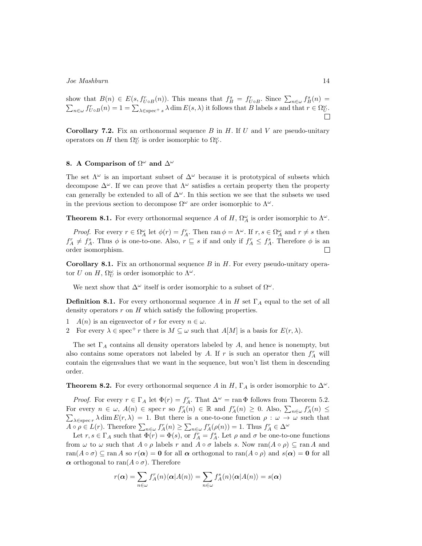show that  $B(n) \in E(s, f_{U \circ B}^r(n))$ . This means that  $f_B^s = f_{U \circ B}^r$ . Since  $\sum_{n \in \omega} f_B^s(n) =$  $\sum_{n\in\omega}f_{U\circ B}^r(n)=1=\sum_{\lambda\in\text{spec}^+}\lambda\dim E(s,\lambda)$  it follows that B labels s and that  $r\in\Omega^{\omega}_{U}$ .  $\Box$ 

**Corollary 7.2.** Fix an orthonormal sequence *B* in *H*. If *U* and *V* are pseudo-unitary operators on *H* then  $\Omega_U^{\omega}$  is order isomorphic to  $\Omega_V^{\omega}$ .

## **8. A Comparison of** Ω *<sup>ω</sup>* **and** ∆*<sup>ω</sup>*

The set  $\Lambda^{\omega}$  is an important subset of  $\Delta^{\omega}$  because it is prototypical of subsets which decompose  $\Delta^{\omega}$ . If we can prove that  $\Lambda^{\omega}$  satisfies a certain property then the property can generally be extended to all of  $\Delta^{\omega}$ . In this section we see that the subsets we used in the previous section to decompose  $\Omega^{\omega}$  are order isomorphic to  $\Lambda^{\omega}$ .

**Theorem 8.1.** For every orthonormal sequence *A* of *H*,  $\Omega^{\omega}_A$  is order isomorphic to  $\Lambda^{\omega}$ .

*Proof.* For every  $r \in \Omega_A^{\omega}$  let  $\phi(r) = f_A^r$ . Then  $\text{ran } \phi = \Lambda^{\omega}$ . If  $r, s \in \Omega_A^{\omega}$  and  $r \neq s$  then  $f_A^r \neq f_A^s$ . Thus  $\phi$  is one-to-one. Also,  $r \subseteq s$  if and only if  $f_A^r \leq f_A^s$ . Therefore  $\phi$  is an  $\Box$ order isomorphism.

**Corollary 8.1.** Fix an orthonormal sequence *B* in *H*. For every pseudo-unitary operator *U* on *H*,  $\Omega_U^{\omega}$  is order isomorphic to  $\Lambda^{\omega}$ .

We next show that  $\Delta^{\omega}$  itself is order isomorphic to a subset of  $\Omega^{\omega}$ .

**Definition 8.1.** For every orthonormal sequence *A* in *H* set  $\Gamma_A$  equal to the set of all density operators *r* on *H* which satisfy the following properties.

- 1 *A*(*n*) is an eigenvector of *r* for every  $n \in \omega$ .
- 2 For every  $\lambda \in \text{spec}^+ r$  there is  $M \subseteq \omega$  such that  $A[M]$  is a basis for  $E(r, \lambda)$ .

The set Γ*<sup>A</sup>* contains all density operators labeled by *A*, and hence is nonempty, but also contains some operators not labeled by *A*. If *r* is such an operator then  $f_A^r$  will contain the eigenvalues that we want in the sequence, but won't list them in descending order.

**Theorem 8.2.** For every orthonormal sequence *A* in *H*,  $\Gamma_A$  is order isomorphic to  $\Delta^\omega$ .

*Proof.* For every  $r \in \Gamma_A$  let  $\Phi(r) = f_A^r$ . That  $\Delta^{\omega} = \text{ran } \Phi$  follows from Theorem 5.2. For every  $n \in \omega$ ,  $A(n) \in \text{spec } r$  so  $f_A^r(n) \in \mathbb{R}$  and  $f_A^r(n) \geq 0$ . Also,  $\sum_{n \in \omega} f_A^r(n) \leq$  $\sum_{\lambda \in \text{spec } r} \lambda \dim E(r, \lambda) = 1$ . But there is a one-to-one function  $\rho : \omega \to \omega$  such that  $A \circ \rho \in L(r)$ . Therefore  $\sum_{n \in \omega} f_A^n(n) \geq \sum_{n \in \omega} f_A^n(\rho(n)) = 1$ . Thus  $f_A^n \in \Delta^{\omega}$ 

Let  $r, s \in \Gamma_A$  such that  $\Phi(r) = \Phi(s)$ , or  $f_A^r = f_A^s$ . Let  $\rho$  and  $\sigma$  be one-to-one functions from  $\omega$  to  $\omega$  such that  $A \circ \rho$  labels  $r$  and  $A \circ \sigma$  labels  $s$ . Now ran( $A \circ \rho$ )  $\subseteq$  ran  $A$  and  $r\text{tan}(A \circ \sigma) \subseteq \text{ran } A$  so  $r(\alpha) = 0$  for all  $\alpha$  orthogonal to  $\text{ran}(A \circ \rho)$  and  $s(\alpha) = 0$  for all *α* orthogonal to ran(*A* ◦ *σ*). Therefore

$$
r(\alpha) = \sum_{n \in \omega} f_A^n(n) \langle \alpha | A(n) \rangle = \sum_{n \in \omega} f_A^s(n) \langle \alpha | A(n) \rangle = s(\alpha)
$$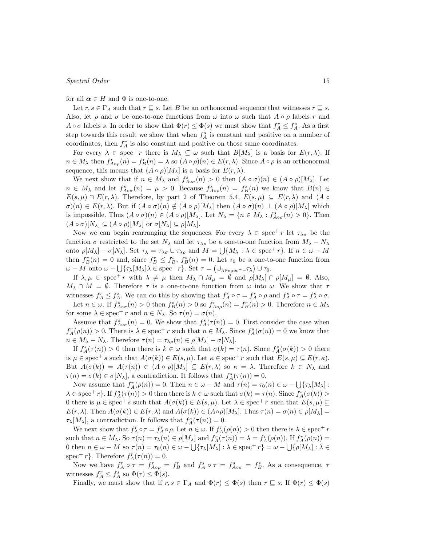for all  $\alpha \in H$  and  $\Phi$  is one-to-one.

Let  $r, s \in \Gamma_A$  such that  $r \sqsubseteq s$ . Let *B* be an orthonormal sequence that witnesses  $r \sqsubseteq s$ . Also, let  $\rho$  and  $\sigma$  be one-to-one functions from  $\omega$  into  $\omega$  such that  $A \circ \rho$  labels  $r$  and *A*  $\circ$  *σ* labels *s*. In order to show that  $\Phi(r) \leq \Phi(s)$  we must show that  $f_A^r \leq f_A^s$ . As a first step towards this result we show that when  $f_A^s$  is constant and positive on a number of coordinates, then  $f_A^r$  is also constant and positive on those same coordinates.

For every  $\lambda \in \text{spec}^+ r$  there is  $M_\lambda \subseteq \omega$  such that  $B[M_\lambda]$  is a basis for  $E(r, \lambda)$ . If  $n \in M_{\lambda}$  then  $f_{A \circ \rho}^{r}(n) = f_{B}^{r}(n) = \lambda$  so  $(A \circ \rho)(n) \in E(r, \lambda)$ . Since  $A \circ \rho$  is an orthonormal sequence, this means that  $(A \circ \rho)[M_\lambda]$  is a basis for  $E(r, \lambda)$ .

We next show that if  $n \in M_\lambda$  and  $f_{A\circ\sigma}^s(n) > 0$  then  $(A \circ \sigma)(n) \in (A \circ \rho)[M_\lambda]$ . Let  $n \in M_{\lambda}$  and let  $f_{A\circ\sigma}^{s}(n) = \mu > 0$ . Because  $f_{A\circ\rho}^{s}(n) = f_{B}^{s}(n)$  we know that  $B(n) \in$  $E(s, \mu) \cap E(r, \lambda)$ . Therefore, by part 2 of Theorem 5.4,  $E(s, \mu) \subseteq E(r, \lambda)$  and  $(A \circ \mu)$  $\sigma(n) \in E(r, \lambda)$ . But if  $(A \circ \sigma)(n) \notin (A \circ \rho)[M_{\lambda}]$  then  $(A \circ \sigma)(n) \perp (A \circ \rho)[M_{\lambda}]$  which is impossible. Thus  $(A \circ \sigma)(n) \in (A \circ \rho)[M_\lambda]$ . Let  $N_\lambda = \{n \in M_\lambda : f^s_{A \circ \sigma}(n) > 0\}$ . Then  $(A \circ \sigma)[N_{\lambda}] \subseteq (A \circ \rho)[M_{\lambda}]$  or  $\sigma[N_{\lambda}] \subseteq \rho[M_{\lambda}]$ .

Now we can begin rearranging the sequences. For every  $\lambda \in \text{spec}^+ r$  let  $\tau_{\lambda\sigma}$  be the function  $\sigma$  restricted to the set  $N_\lambda$  and let  $\tau_{\lambda\rho}$  be a one-to-one function from  $M_\lambda - N_\lambda$ onto  $\rho[M_{\lambda}] - \sigma[N_{\lambda}]$ . Set  $\tau_{\lambda} = \tau_{\lambda\sigma} \cup \tau_{\lambda\rho}$  and  $M = \bigcup \{M_{\lambda} : \lambda \in \text{spec}^+ r\}$ . If  $n \in \omega - M$ then  $f_B^r(n) = 0$  and, since  $f_B^r \leq f_B^s$ ,  $f_B^s(n) = 0$ . Let  $\tau_0$  be a one-to-one function from  $\omega-M$  onto  $\omega-\bigcup{\{\tau_{\lambda}[M_{\lambda}]\lambda \in \text{spec}^+ r\}}$ . Set  $\tau=\left(\cup_{\lambda \in \text{spec}^+ r}\tau_{\lambda}\right) \cup \tau_0$ .

If  $\lambda, \mu \in \text{spec}^+ r$  with  $\lambda \neq \mu$  then  $M_\lambda \cap M_\mu = \emptyset$  and  $\rho[M_\lambda] \cap \rho[M_\mu] = \emptyset$ . Also,  $M_{\lambda} \cap M = \emptyset$ . Therefore  $\tau$  is a one-to-one function from  $\omega$  into  $\omega$ . We show that  $\tau$ witnesses  $f_A^r \leq f_A^s$ . We can do this by showing that  $f_A^r \circ \tau = f_A^r \circ \rho$  and  $f_A^s \circ \tau = f_A^s \circ \sigma$ . Let  $n \in \omega$ . If  $f_{A \circ \sigma}^s(n) > 0$  then  $f_B^s(n) > 0$  so  $f_{A \circ \rho}^r(n) = f_B^r(n) > 0$ . Therefore  $n \in M_{\lambda}$ 

for some  $\lambda \in \text{spec}^+ r$  and  $n \in N_\lambda$ . So  $\tau(n) = \sigma(n)$ .

Assume that  $f_{A\circ \sigma}^s(n) = 0$ . We show that  $f_A^s(\tau(n)) = 0$ . First consider the case when  $f_A^r(\rho(n)) > 0$ . There is  $\lambda \in \text{spec}^+ r$  such that  $n \in M_\lambda$ . Since  $f_A^s(\sigma(n)) = 0$  we know that  $n \in M_{\lambda} - N_{\lambda}$ . Therefore  $\tau(n) = \tau_{\lambda \rho}(n) \in \rho[M_{\lambda}] - \sigma[N_{\lambda}]$ .

If  $f_A^s(\tau(n)) > 0$  then there is  $k \in \omega$  such that  $\sigma(k) = \tau(n)$ . Since  $f_A^s(\sigma(k)) > 0$  there is  $\mu \in \text{spec}^+$  *s* such that  $A(\sigma(k)) \in E(s, \mu)$ . Let  $\kappa \in \text{spec}^+$  *r* such that  $E(s, \mu) \subseteq E(r, \kappa)$ . But  $A(\sigma(k)) = A(\tau(n)) \in (A \circ \rho)[M_{\lambda}] \subseteq E(r,\lambda)$  so  $\kappa = \lambda$ . Therefore  $k \in N_{\lambda}$  and *τ*(*n*) = *σ*(*k*)  $\in$  *σ*[*N*<sub> $\lambda$ </sub>], a contradiction. It follows that  $f_A^s(\tau(n)) = 0$ .

Now assume that  $f_A^r(\rho(n)) = 0$ . Then  $n \in \omega - M$  and  $\tau(n) = \tau_0(n) \in \omega - \bigcup \{\tau_\lambda[M_\lambda]:$  $\lambda \in \text{spec}^+ r$ . If  $f_A^s(\tau(n)) > 0$  then there is  $k \in \omega$  such that  $\sigma(k) = \tau(n)$ . Since  $f_A^s(\sigma(k)) >$ 0 there is  $\mu \in \text{spec}^+ s$  such that  $A(\sigma(k)) \in E(s, \mu)$ . Let  $\lambda \in \text{spec}^+ r$  such that  $E(s, \mu) \subseteq$  $E(r, \lambda)$ . Then  $A(\sigma(k)) \in E(r, \lambda)$  and  $A(\sigma(k)) \in (A \circ \rho)[M_{\lambda}]$ . Thus  $\tau(n) = \sigma(n) \in \rho[M_{\lambda}]$ *τ*<sub>*λ*</sub>[*M*<sub>*λ*</sub>], a contradiction. It follows that  $f_A^s(\tau(n)) = 0$ .

We next show that  $f_A^r \circ \tau = f_A^r \circ \rho$ . Let  $n \in \omega$ . If  $f_A^r(\rho(n)) > 0$  then there is  $\lambda \in \text{spec}^+ r$ such that  $n \in M_\lambda$ . So  $\tau(n) = \tau_\lambda(n) \in \rho[M_\lambda]$  and  $f_A^r(\tau(n)) = \lambda = f_A^r(\rho(n))$ . If  $f_A^r(\rho(n)) =$ 0 then  $n \in \omega - M$  so  $\tau(n) = \tau_0(n) \in \omega - \bigcup {\tau_\lambda[M_\lambda]} : \lambda \in \text{spec}^+ r$  =  $\omega - \bigcup {\rho[M_\lambda]} : \lambda \in$ spec<sup>+</sup> *r*}. Therefore  $f_A^r(\tau(n)) = 0$ .

Now we have  $f_A^r \circ \tau = f_{A \circ \rho}^r = f_B^r$  and  $f_A^s \circ \tau = f_{A \circ \sigma}^s = f_B^s$ . As a consequence,  $\tau$ witnesses  $f_A^r \leq f_A^s$  so  $\Phi(r) \leq \Phi(s)$ .

Finally, we must show that if  $r, s \in \Gamma_A$  and  $\Phi(r) \leq \Phi(s)$  then  $r \sqsubseteq s$ . If  $\Phi(r) \leq \Phi(s)$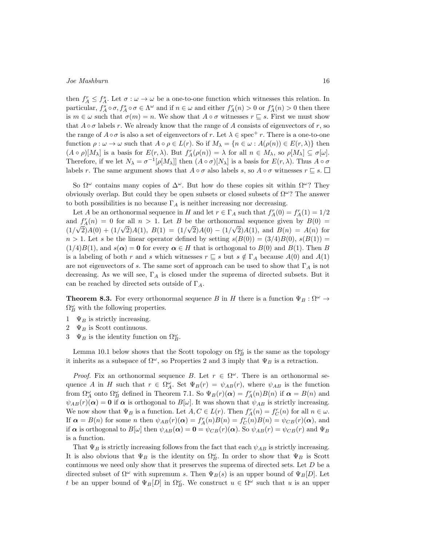then  $f_A^r \leq f_A^s$ . Let  $\sigma : \omega \to \omega$  be a one-to-one function which witnesses this relation. In particular,  $f_A^s \circ \sigma$ ,  $f_A^s \circ \sigma \in \Lambda^\omega$  and if  $n \in \omega$  and either  $f_A^r(n) > 0$  or  $f_A^s(n) > 0$  then there is  $m \in \omega$  such that  $\sigma(m) = n$ . We show that  $A \circ \sigma$  witnesses  $r \subseteq s$ . First we must show that  $A \circ \sigma$  labels *r*. We already know that the range of *A* consists of eigenvectors of *r*, so the range of  $A \circ \sigma$  is also a set of eigenvectors of *r*. Let  $\lambda \in \text{spec}^+ r$ . There is a one-to-one function  $\rho : \omega \to \omega$  such that  $A \circ \rho \in L(r)$ . So if  $M_{\lambda} = \{n \in \omega : A(\rho(n)) \in E(r, \lambda)\}\$  then  $(A \circ \rho)[M_{\lambda}]$  is a basis for  $E(r, \lambda)$ . But  $f_A^r(\rho(n)) = \lambda$  for all  $n \in M_{\lambda}$ , so  $\rho[M_{\lambda}] \subseteq \sigma[\omega]$ . Therefore, if we let  $N_{\lambda} = \sigma^{-1}[\rho[M_{\lambda}]]$  then  $(A \circ \sigma)[N_{\lambda}]$  is a basis for  $E(r, \lambda)$ . Thus  $A \circ \sigma$ labels *r*. The same argument shows that  $A \circ \sigma$  also labels *s*, so  $A \circ \sigma$  witnesses  $r \sqsubseteq s$ .

So Ω*<sup>ω</sup>* contains many copies of ∆*<sup>ω</sup>*. But how do these copies sit within Ω*<sup>ω</sup>*? They obviously overlap. But could they be open subsets or closed subsets of Ω*<sup>ω</sup>*? The answer to both possibilities is no because  $\Gamma_A$  is neither increasing nor decreasing.

Let *A* be an orthonormal sequence in *H* and let  $r \in \Gamma_A$  such that  $f_A^r(0) = f_A^r(1) = 1/2$ and  $f_A^r(n) = 0$  for all  $n > 1$ . Let *B* be the orthonormal sequence given by  $B(0) = \frac{f_A^r(n)}{2}$  $(1/\sqrt{2})A(0) + (1/\sqrt{2})A(1), B(1) = (1/\sqrt{2})A(0) - (1/\sqrt{2})A(1), \text{ and } B(n) = A(n)$  for  $n > 1$ . Let *s* be the linear operator defined by setting  $s(B(0)) = (3/4)B(0), s(B(1)) =$  $(1/4)B(1)$ , and  $s(\alpha) = 0$  for every  $\alpha \in H$  that is orthogonal to  $B(0)$  and  $B(1)$ . Then *B* is a labeling of both *r* and *s* which witnesses  $r \subseteq s$  but  $s \notin \Gamma_A$  because  $A(0)$  and  $A(1)$ are not eigenvectors of *s*. The same sort of approach can be used to show that  $\Gamma_A$  is not decreasing. As we will see, Γ*<sup>A</sup>* is closed under the suprema of directed subsets. But it can be reached by directed sets outside of Γ*A*.

**Theorem 8.3.** For every orthonormal sequence *B* in *H* there is a function  $\Psi_B : \Omega^{\omega} \to$  $\Omega_B^{\omega}$  with the following properties.

- 1  $\Psi_B$  is strictly increasing.
- 2  $\Psi_B$  is Scott continuous.
- 3  $\Psi_B$  is the identity function on  $\Omega_B^{\omega}$ .

Lemma 10.1 below shows that the Scott topology on  $\Omega_B^{\omega}$  is the same as the topology it inherits as a subspace of  $\Omega^{\omega}$ , so Properties 2 and 3 imply that  $\Psi_B$  is a retraction.

*Proof.* Fix an orthonormal sequence *B*. Let  $r \in \Omega^{\omega}$ . There is an orthonormal sequence *A* in *H* such that  $r \in \Omega_A^{\omega}$ . Set  $\Psi_B(r) = \psi_{AB}(r)$ , where  $\psi_{AB}$  is the function from  $\Omega^{\omega}_A$  onto  $\Omega^{\omega}_B$  defined in Theorem 7.1. So  $\Psi_B(r)(\alpha) = f_A^r(n)B(n)$  if  $\alpha = B(n)$  and  $\psi_{AB}(r)(\alpha) = 0$  if  $\alpha$  is orthogonal to  $B[\omega]$ . It was shown that  $\psi_{AB}$  is strictly increasing. We now show that  $\Psi_B$  is a function. Let  $A, C \in L(r)$ . Then  $f_A^r(n) = f_C^r(n)$  for all  $n \in \omega$ . If  $\alpha = B(n)$  for some *n* then  $\psi_{AB}(r)(\alpha) = f_A^r(n)B(n) = f_C^r(n)B(n) = \psi_{CB}(r)(\alpha)$ , and if  $\alpha$  is orthogonal to  $B[\omega]$  then  $\psi_{AB}(\alpha) = \mathbf{0} = \psi_{CB}(r)(\alpha)$ . So  $\psi_{AB}(r) = \psi_{CB}(r)$  and  $\Psi_B$ is a function.

That  $\Psi_B$  is strictly increasing follows from the fact that each  $\psi_{AB}$  is strictly increasing. It is also obvious that  $\Psi_B$  is the identity on  $\Omega_B^{\omega}$ . In order to show that  $\Psi_B$  is Scott continuous we need only show that it preserves the suprema of directed sets. Let *D* be a directed subset of  $\Omega^{\omega}$  with supremum *s*. Then  $\Psi_B(s)$  is an upper bound of  $\Psi_B[D]$ . Let *t* be an upper bound of  $\Psi_B[D]$  in  $\Omega_B^{\omega}$ . We construct  $u \in \Omega^{\omega}$  such that *u* is an upper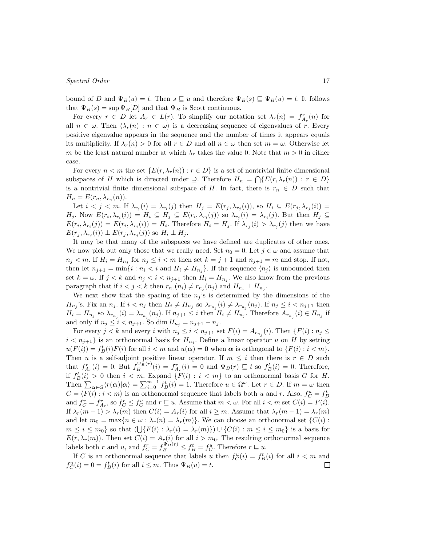bound of *D* and  $\Psi_B(u) = t$ . Then  $s \sqsubseteq u$  and therefore  $\Psi_B(s) \sqsubseteq \Psi_B(u) = t$ . It follows that  $\Psi_B(s) = \sup \Psi_B[D]$  and that  $\Psi_B$  is Scott continuous.

For every  $r \in D$  let  $A_r \in L(r)$ . To simplify our notation set  $\lambda_r(n) = f_{A_r}^r(n)$  for all  $n \in \omega$ . Then  $\langle \lambda_r(n) : n \in \omega \rangle$  is a decreasing sequence of eigenvalues of *r*. Every positive eigenvalue appears in the sequence and the number of times it appears equals its multiplicity. If  $\lambda_r(n) > 0$  for all  $r \in D$  and all  $n \in \omega$  then set  $m = \omega$ . Otherwise let *m* be the least natural number at which  $\lambda_r$  takes the value 0. Note that  $m > 0$  in either case.

For every  $n < m$  the set  $\{E(r, \lambda_r(n)) : r \in D\}$  is a set of nontrivial finite dimensional subspaces of *H* which is directed under  $\supseteq$ . Therefore  $H_n = \bigcap \{E(r, \lambda_r(n)) : r \in D\}$ is a nontrivial finite dimensional subspace of *H*. In fact, there is  $r_n \in D$  such that  $H_n = E(r_n, \lambda_{r_n}(n)).$ 

Let  $i < j < m$ . If  $\lambda_{r_j}(i) = \lambda_{r_i}(j)$  then  $H_j = E(r_j, \lambda_{r_j}(i))$ , so  $H_i \subseteq E(r_j, \lambda_{r_j}(i)) =$  $H_j$ . Now  $E(r_i, \lambda_{r_i}(i)) = H_i \subseteq H_j \subseteq E(r_i, \lambda_{r_i}(j))$  so  $\lambda_{r_j}(i) = \lambda_{r_i}(j)$ . But then  $H_j \subseteq$  $E(r_i, \lambda_{r_i}(j)) = E(r_i, \lambda_{r_i}(i)) = H_i$ . Therefore  $H_i = H_j$ . If  $\lambda_{r_j}(i) > \lambda_{r_j}(j)$  then we have  $E(r_j, \lambda_{r_j}(i)) \perp E(r_j, \lambda_{r_j}(j))$  so  $H_i \perp H_j$ .

It may be that many of the subspaces we have defined are duplicates of other ones. We now pick out only those that we really need. Set  $n_0 = 0$ . Let  $j \in \omega$  and assume that  $n_j < m$ . If  $H_i = H_{n_j}$  for  $n_j \le i < m$  then set  $k = j + 1$  and  $n_{j+1} = m$  and stop. If not, then let  $n_{j+1} = \min\{i : n_i \le i \text{ and } H_i \ne H_{n_j}\}$ . If the sequence  $\langle n_j \rangle$  is unbounded then set  $k = \omega$ . If  $j < k$  and  $n_j < i < n_{j+1}$  then  $H_i = H_{n_j}$ . We also know from the previous paragraph that if  $i < j < k$  then  $r_{n_i}(n_i) \neq r_{n_j}(n_j)$  and  $H_{n_i} \perp H_{n_j}$ .

We next show that the spacing of the  $n_j$ 's is determined by the dimensions of the  $H_{n_j}$ 's. Fix an  $n_j$ . If  $i < n_j$  then  $H_i \neq H_{n_j}$  so  $\lambda_{r_{n_j}}(i) \neq \lambda_{r_{n_j}}(n_j)$ . If  $n_j \leq i < n_{j+1}$  then  $H_i = H_{n_j}$  so  $\lambda_{r_{n_j}}(i) = \lambda_{r_{n_j}}(n_j)$ . If  $n_{j+1} \leq i$  then  $H_i \neq H_{n_j}$ . Therefore  $A_{r_{n_j}}(i) \in H_{n_j}$  if and only if  $n_j \le i < n_{j+1}$ . So dim  $H_{n_j} = n_{j+1} - n_j$ .

For every  $j < k$  and every *i* with  $n_j \leq i < n_{j+1}$  set  $F(i) = A_{r_{n_j}}(i)$ . Then  $\{F(i) : n_j \leq j \leq n_{j+1} \}$  $i < n_{j+1}$  is an orthonormal basis for  $H_{n_j}$ . Define a linear operator *u* on *H* by setting  $u(F(i)) = f_B^t(i)F(i)$  for all  $i < m$  and  $u(\alpha) = 0$  when  $\alpha$  is orthogonal to  $\{F(i) : i < m\}$ . Then *u* is a self-adjoint positive linear operator. If  $m \leq i$  then there is  $r \in D$  such that  $f_{A_r}^r(i) = 0$ . But  $f_B^{\Psi_B(r)}(i) = f_{A_r}^r(i) = 0$  and  $\Psi_B(r) \sqsubseteq t$  so  $f_B^t(i) = 0$ . Therefore, if  $f_B^t(i) > 0$  then  $i < m$ . Expand  $\{F(i) : i < m\}$  to an orthonormal basis *G* for *H*. Then  $\sum_{\alpha \in G} \langle r(\alpha) | \alpha \rangle = \sum_{i=0}^{m-1} f_B^t(i) = 1$ . Therefore  $u \in \Omega^\omega$ . Let  $r \in D$ . If  $m = \omega$  then  $C = \langle F(i) : i < m \rangle$  is an orthonormal sequence that labels both *u* and *r*. Also,  $f_C^u = f_B^t$ and  $f_C^r = f_{A_r}^r$ , so  $f_C^r \leq f_C^u$  and  $r \sqsubseteq u$ . Assume that  $m < \omega$ . For all  $i < m$  set  $C(i) = F(i)$ . If  $\lambda_r(m-1) > \lambda_r(m)$  then  $C(i) = A_r(i)$  for all  $i \geq m$ . Assume that  $\lambda_r(m-1) = \lambda_r(m)$ and let  $m_0 = \max\{n \in \omega : \lambda_r(n) = \lambda_r(m)\}$ . We can choose an orthonormal set  $\{C(i) :$  $m \leq i \leq m_0$  so that  $(\bigcup \{F(i) : \lambda_r(i) = \lambda_r(m)\}) \cup \{C(i) : m \leq i \leq m_0\}$  is a basis for  $E(r, \lambda_r(m))$ . Then set  $C(i) = A_r(i)$  for all  $i > m_0$ . The resulting orthonormal sequence labels both *r* and *u*, and  $f_C^r = f_B^{\Psi_B(r)} \leq f_B^t = f_C^u$ . Therefore  $r \sqsubseteq u$ .

If *C* is an orthonormal sequence that labels *u* then  $f_C^u(i) = f_B^t(i)$  for all  $i < m$  and  $f_C^u(i) = 0 = f_B^t(i)$  for all  $i \leq m$ . Thus  $\Psi_B(u) = t$ .  $\Box$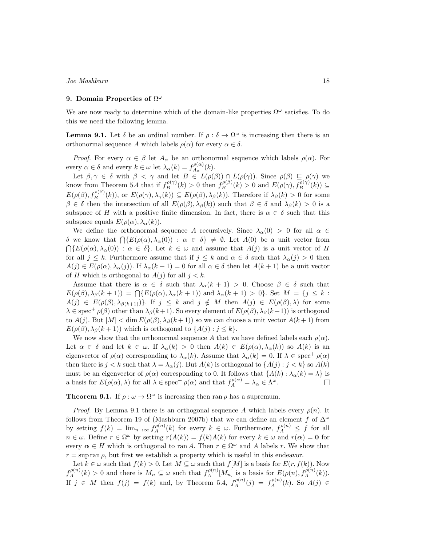## **9. Domain Properties of** Ω *ω*

We are now ready to determine which of the domain-like properties  $\Omega^{\omega}$  satisfies. To do this we need the following lemma.

**Lemma 9.1.** Let  $\delta$  be an ordinal number. If  $\rho : \delta \to \Omega^\omega$  is increasing then there is an orthonormal sequence *A* which labels  $\rho(\alpha)$  for every  $\alpha \in \delta$ .

*Proof.* For every  $\alpha \in \beta$  let  $A_{\alpha}$  be an orthonormal sequence which labels  $\rho(\alpha)$ . For every  $\alpha \in \delta$  and every  $k \in \omega$  let  $\lambda_{\alpha}(k) = f_{A_{\alpha}}^{\rho(\alpha)}$  $A_\alpha^{\rho(\alpha)}(k).$ 

Let  $\beta, \gamma \in \delta$  with  $\beta < \gamma$  and let  $B \in L(\rho(\beta)) \cap L(\rho(\gamma))$ . Since  $\rho(\beta) \subseteq \rho(\gamma)$  we know from Theorem 5.4 that if  $f_B^{\rho(\gamma)}(k) > 0$  then  $f_B^{\rho(\beta)}(k) > 0$  and  $E(\rho(\gamma), f_B^{\rho(\gamma)}(k)) \subseteq$  $E(\rho(\beta), f_{B}^{\rho(\beta)}(k)),$  or  $E(\rho(\gamma), \lambda_{\gamma}(k)) \subseteq E(\rho(\beta), \lambda_{\beta}(k)).$  Therefore if  $\lambda_{\beta}(k) > 0$  for some  $\beta \in \delta$  then the intersection of all  $E(\rho(\beta), \lambda_{\beta}(k))$  such that  $\beta \in \delta$  and  $\lambda_{\beta}(k) > 0$  is a subspace of *H* with a positive finite dimension. In fact, there is  $\alpha \in \delta$  such that this subspace equals  $E(\rho(\alpha), \lambda_{\alpha}(k))$ .

We define the orthonormal sequence *A* recursively. Since  $\lambda_{\alpha}(0) > 0$  for all  $\alpha \in$ *δ* we know that  $\bigcap$ { $E(\rho(\alpha), \lambda_\alpha(0))$  : *α* ∈ *δ*}  $\neq$  *Ø*. Let *A*(0) be a unit vector from  $\bigcap \{E(\rho(\alpha), \lambda_\alpha(0)) : \alpha \in \delta\}$ . Let  $k \in \omega$  and assume that  $A(j)$  is a unit vector of *H* for all  $j \leq k$ . Furthermore assume that if  $j \leq k$  and  $\alpha \in \delta$  such that  $\lambda_{\alpha}(j) > 0$  then  $A(j) \in E(\rho(\alpha), \lambda_{\alpha}(j))$ . If  $\lambda_{\alpha}(k+1) = 0$  for all  $\alpha \in \delta$  then let  $A(k+1)$  be a unit vector of *H* which is orthogonal to  $A(j)$  for all  $j < k$ .

Assume that there is  $\alpha \in \delta$  such that  $\lambda_{\alpha}(k+1) > 0$ . Choose  $\beta \in \delta$  such that  $E(\rho(\beta), \lambda_{\beta}(k+1)) = \bigcap \{E(\rho(\alpha), \lambda_{\alpha}(k+1)) \text{ and } \lambda_{\alpha}(k+1) > 0\}.$  Set  $M = \{j \leq k :$  $A(j) \in E(\rho(\beta), \lambda_{\beta(k+1)})\}.$  If  $j \leq k$  and  $j \notin M$  then  $A(j) \in E(\rho(\beta), \lambda)$  for some  $\lambda \in \text{spec}^+$   $\rho(\beta)$  other than  $\lambda_\beta(k+1)$ . So every element of  $E(\rho(\beta), \lambda_\beta(k+1))$  is orthogonal to  $A(j)$ . But  $|M| < \dim E(\rho(\beta), \lambda_{\beta}(k+1))$  so we can choose a unit vector  $A(k+1)$  from  $E(\rho(\beta), \lambda_{\beta}(k+1))$  which is orthogonal to  $\{A(j) : j \leq k\}.$ 

We now show that the orthonormal sequence *A* that we have defined labels each  $\rho(\alpha)$ . Let  $\alpha \in \delta$  and let  $k \in \omega$ . If  $\lambda_{\alpha}(k) > 0$  then  $A(k) \in E(\rho(\alpha), \lambda_{\alpha}(k))$  so  $A(k)$  is an eigenvector of  $\rho(\alpha)$  corresponding to  $\lambda_{\alpha}(k)$ . Assume that  $\lambda_{\alpha}(k) = 0$ . If  $\lambda \in \text{spec}^+$   $\rho(\alpha)$ then there is  $j < k$  such that  $\lambda = \lambda_{\alpha}(j)$ . But  $A(k)$  is orthogonal to  $\{A(j) : j < k\}$  so  $A(k)$ must be an eigenvector of  $\rho(\alpha)$  corresponding to 0. It follows that  $\{A(k): \lambda_{\alpha}(k) = \lambda\}$  is a basis for  $E(\rho(\alpha), \lambda)$  for all  $\lambda \in \text{spec}^+$   $\rho(\alpha)$  and that  $f_A^{\rho(\alpha)} = \lambda_\alpha \in \Lambda^\omega$ .  $\Box$ 

**Theorem 9.1.** If  $\rho : \omega \to \Omega^{\omega}$  is increasing then ran  $\rho$  has a supremum.

*Proof.* By Lemma 9.1 there is an orthogonal sequence A which labels every  $\rho(n)$ . It follows from Theorem 19 of (Mashburn 2007b) that we can define an element *f* of ∆*<sup>ω</sup>* by setting  $f(k) = \lim_{n \to \infty} f_A^{\rho(n)}(k)$  for every  $k \in \omega$ . Furthermore,  $f_A^{\rho(n)} \leq f$  for all  $n \in \omega$ . Define  $r \in \Omega^{\omega}$  by setting  $r(A(k)) = f(k)A(k)$  for every  $k \in \omega$  and  $r(\alpha) = 0$  for every  $\alpha \in H$  which is orthogonal to ran *A*. Then  $r \in \Omega^{\omega}$  and *A* labels *r*. We show that  $r = \sup \operatorname{ran} \rho$ , but first we establish a property which is useful in this endeavor.

Let  $k \in \omega$  such that  $f(k) > 0$ . Let  $M \subseteq \omega$  such that  $f[M]$  is a basis for  $E(r, f(k))$ . Now  $f_A^{\rho(n)}(k) > 0$  and there is  $M_n \subseteq \omega$  such that  $f_A^{\rho(n)}[M_n]$  is a basis for  $E(\rho(n), f_A^{\rho(n)}(k))$ . If  $j \in M$  then  $f(j) = f(k)$  and, by Theorem 5.4,  $f_A^{\rho(n)}(j) = f_A^{\rho(n)}(k)$ . So  $A(j) \in$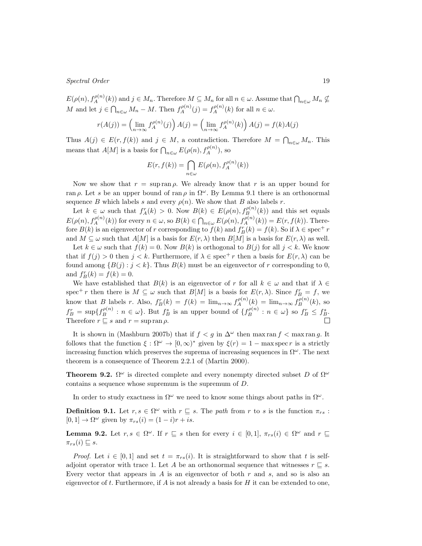$E(\rho(n), f_A^{\rho(n)}(k))$  and  $j \in M_n$ . Therefore  $M \subseteq M_n$  for all  $n \in \omega$ . Assume that  $\bigcap_{n \in \omega} M_n \nsubseteq$ M and let  $j \in \bigcap_{n \in \omega} M_n - M$ . Then  $f_A^{\rho(n)}(j) = f_A^{\rho(n)}(k)$  for all  $n \in \omega$ .

$$
r(A(j)) = \left(\lim_{n \to \infty} f_A^{\rho(n)}(j)\right) A(j) = \left(\lim_{n \to \infty} f_A^{\rho(n)}(k)\right) A(j) = f(k)A(j)
$$

Thus  $A(j) \in E(r, f(k))$  and  $j \in M$ , a contradiction. Therefore  $M = \bigcap_{n \in \omega} M_n$ . This means that *A*[*M*] is a basis for  $\bigcap_{n\in\omega} E(\rho(n), f_A^{\rho(n)})$ , so

$$
E(r, f(k)) = \bigcap_{n \in \omega} E(\rho(n), f_A^{\rho(n)}(k))
$$

Now we show that  $r = \sup \operatorname{ran} \rho$ . We already know that r is an upper bound for ran  $\rho$ . Let *s* be an upper bound of ran  $\rho$  in  $\Omega^{\omega}$ . By Lemma 9.1 there is an orthonormal sequence *B* which labels *s* and every  $\rho(n)$ . We show that *B* also labels *r*.

Let  $k \in \omega$  such that  $f_A^r(k) > 0$ . Now  $B(k) \in E(\rho(n), f_B^{\rho(n)}(k))$  and this set equals  $E(\rho(n), f_A^{\rho(n)}(k))$  for every  $n \in \omega$ , so  $B(k) \in \bigcap_{n \in \omega} E(\rho(n), f_A^{\rho(n)}(k)) = E(r, f(k))$ . Therefore  $B(k)$  is an eigenvector of *r* corresponding to  $f(k)$  and  $f_B^r(k) = f(k)$ . So if  $\lambda \in \text{spec}^+ r$ and  $M \subseteq \omega$  such that  $A[M]$  is a basis for  $E(r, \lambda)$  then  $B[M]$  is a basis for  $E(r, \lambda)$  as well.

Let  $k \in \omega$  such that  $f(k) = 0$ . Now  $B(k)$  is orthogonal to  $B(j)$  for all  $j < k$ . We know that if  $f(i) > 0$  then  $j < k$ . Furthermore, if  $\lambda \in \text{spec}^+ r$  then a basis for  $E(r, \lambda)$  can be found among  $\{B(j) : j < k\}$ . Thus  $B(k)$  must be an eigenvector of *r* corresponding to 0, and  $f_B^r(k) = f(k) = 0$ .

We have established that  $B(k)$  is an eigenvector of *r* for all  $k \in \omega$  and that if  $\lambda \in$ spec<sup>+</sup> *r* then there is  $M \subseteq \omega$  such that  $B[M]$  is a basis for  $E(r, \lambda)$ . Since  $f_B^r = f$ , we know that B labels r. Also,  $f_B^r(k) = f(k) = \lim_{n \to \infty} f_A^{\rho(n)}(k) = \lim_{n \to \infty} f_B^{\rho(n)}(k)$ , so  $f_B^r = \sup\{f_B^{\rho(n)} : n \in \omega\}$ . But  $f_B^s$  is an upper bound of  $\{f_B^{\rho(n)} : n \in \omega\}$  so  $f_B^r \leq f_B^s$ . Therefore  $r \sqsubseteq s$  and  $r = \sup \operatorname{ran} \rho$ .

It is shown in (Mashburn 2007b) that if  $f < g$  in  $\Delta^{\omega}$  then max ran  $f < \max f$ . It follows that the function  $\xi : \Omega^{\omega} \to [0, \infty)^*$  given by  $\xi(r) = 1 - \max \text{spec } r$  is a strictly increasing function which preserves the suprema of increasing sequences in  $\Omega^{\omega}$ . The next theorem is a consequence of Theorem 2.2.1 of (Martin 2000).

**Theorem 9.2.**  $\Omega^{\omega}$  is directed complete and every nonempty directed subset *D* of  $\Omega^{\omega}$ contains a sequence whose supremum is the supremum of *D*.

In order to study exactness in  $\Omega^{\omega}$  we need to know some things about paths in  $\Omega^{\omega}$ .

**Definition 9.1.** Let  $r, s \in \Omega^{\omega}$  with  $r \subseteq s$ . The *path* from *r* to *s* is the function  $\pi_{rs}$ :  $[0,1] \rightarrow \Omega^{\omega}$  given by  $\pi_{rs}(i) = (1-i)r + is$ .

**Lemma 9.2.** Let  $r, s \in \Omega^\omega$ . If  $r \subseteq s$  then for every  $i \in [0,1]$ ,  $\pi_{rs}(i) \in \Omega^\omega$  and  $r \subseteq$  $\pi_{rs}(i) \sqsubseteq s$ .

*Proof.* Let  $i \in [0,1]$  and set  $t = \pi_{rs}(i)$ . It is straightforward to show that t is selfadjoint operator with trace 1. Let *A* be an orthonormal sequence that witnesses  $r \subseteq s$ . Every vector that appears in *A* is an eigenvector of both *r* and *s*, and so is also an eigenvector of *t*. Furthermore, if *A* is not already a basis for *H* it can be extended to one,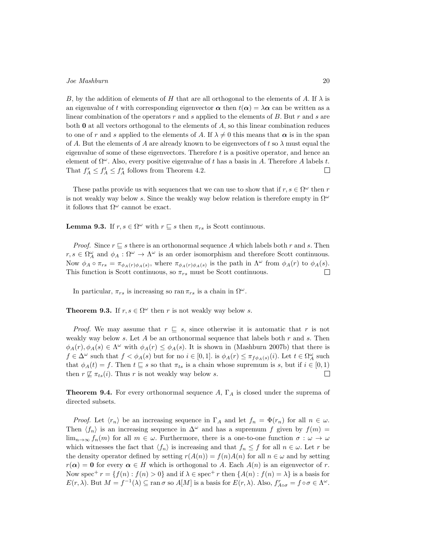*B*, by the addition of elements of *H* that are all orthogonal to the elements of *A*. If  $\lambda$  is an eigenvalue of *t* with corresponding eigenvector  $\alpha$  then  $t(\alpha) = \lambda \alpha$  can be written as a linear combination of the operators *r* and *s* applied to the elements of *B*. But *r* and *s* are both **0** at all vectors orthogonal to the elements of *A*, so this linear combination reduces to one of r and s applied to the elements of A. If  $\lambda \neq 0$  this means that  $\alpha$  is in the span of *A*. But the elements of *A* are already known to be eigenvectors of *t* so  $\lambda$  must equal the eigenvalue of some of these eigenvectors. Therefore *t* is a positive operator, and hence an element of  $\Omega^{\omega}$ . Also, every positive eigenvalue of t has a basis in A. Therefore A labels t. That  $f_A^r \leq f_A^t \leq f_A^s$  follows from Theorem 4.2.  $\Box$ 

These paths provide us with sequences that we can use to show that if  $r, s \in \Omega^{\omega}$  then *r* is not weakly way below *s*. Since the weakly way below relation is therefore empty in  $\Omega^{\omega}$ it follows that  $\Omega^{\omega}$  cannot be exact.

**Lemma 9.3.** If  $r, s \in \Omega^{\omega}$  with  $r \sqsubseteq s$  then  $\pi_{rs}$  is Scott continuous.

*Proof.* Since  $r \subseteq s$  there is an orthonormal sequence A which labels both r and s. Then  $r, s \in \Omega^{\omega}_A$  and  $\phi_A : \Omega^{\omega} \to \Lambda^{\omega}$  is an order isomorphism and therefore Scott continuous. Now  $\phi_A \circ \pi_{rs} = \pi_{\phi_A(r)\phi_A(s)}$ , where  $\pi_{\phi_A(r)\phi_A(s)}$  is the path in  $\Lambda^{\omega}$  from  $\phi_A(r)$  to  $\phi_A(s)$ . This function is Scott continuous, so  $\pi_{rs}$  must be Scott continuous.  $\Box$ 

In particular,  $\pi_{rs}$  is increasing so ran  $\pi_{rs}$  is a chain in  $\Omega^{\omega}$ .

**Theorem 9.3.** If  $r, s \in \Omega^\omega$  then *r* is not weakly way below *s*.

*Proof.* We may assume that  $r \subseteq s$ , since otherwise it is automatic that r is not weakly way below *s*. Let *A* be an orthonormal sequence that labels both *r* and *s*. Then  $\phi_A(r), \phi_A(s) \in \Lambda^\omega$  with  $\phi_A(r) \leq \phi_A(s)$ . It is shown in (Mashburn 2007b) that there is  $f \in \Delta^{\omega}$  such that  $f < \phi_A(s)$  but for no  $i \in [0,1]$ . is  $\phi_A(r) \leq \pi_{f\phi_A(s)}(i)$ . Let  $t \in \Omega_A^{\omega}$  such that  $\phi_A(t) = f$ . Then  $t \subseteq s$  so that  $\pi_{ts}$  is a chain whose supremum is *s*, but if  $i \in [0,1)$ then  $r \not\sqsubseteq \pi_{ts}(i)$ . Thus  $r$  is not weakly way below  $s$ .  $\Box$ 

**Theorem 9.4.** For every orthonormal sequence *A*, Γ*<sup>A</sup>* is closed under the suprema of directed subsets.

*Proof.* Let  $\langle r_n \rangle$  be an increasing sequence in  $\Gamma_A$  and let  $f_n = \Phi(r_n)$  for all  $n \in \omega$ . Then  $\langle f_n \rangle$  is an increasing sequence in  $\Delta^\omega$  and has a supremum *f* given by  $f(m)$  =  $\lim_{n\to\infty} f_n(m)$  for all  $m \in \omega$ . Furthermore, there is a one-to-one function  $\sigma : \omega \to \omega$ which witnesses the fact that  $\langle f_n \rangle$  is increasing and that  $f_n \leq f$  for all  $n \in \omega$ . Let *r* be the density operator defined by setting  $r(A(n)) = f(n)A(n)$  for all  $n \in \omega$  and by setting  $r(\alpha) = 0$  for every  $\alpha \in H$  which is orthogonal to *A*. Each  $A(n)$  is an eigenvector of *r*. Now spec<sup>+</sup>  $r = \{f(n) : f(n) > 0\}$  and if  $\lambda \in \text{spec}^+ r$  then  $\{A(n) : f(n) = \lambda\}$  is a basis for  $E(r, \lambda)$ . But  $M = f^{-1}(\lambda) \subseteq \text{ran }\sigma$  so  $A[M]$  is a basis for  $E(r, \lambda)$ . Also,  $f_{A \circ \sigma}^r = f \circ \sigma \in \Lambda^\omega$ .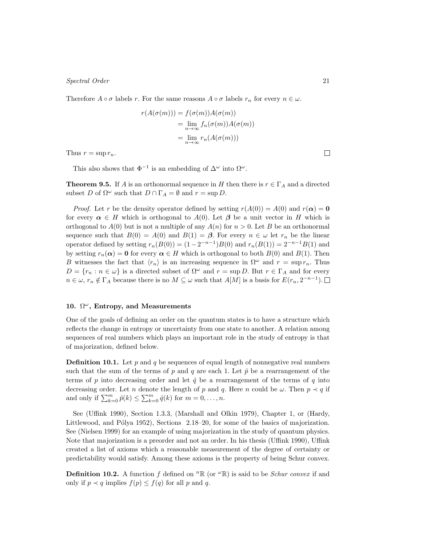Therefore  $A \circ \sigma$  labels  $r$ . For the same reasons  $A \circ \sigma$  labels  $r_n$  for every  $n \in \omega$ .

$$
r(A(\sigma(m))) = f(\sigma(m))A(\sigma(m))
$$
  
=  $\lim_{n \to \infty} f_n(\sigma(m))A(\sigma(m))$   
=  $\lim_{n \to \infty} r_n(A(\sigma(m)))$ 

Thus  $r = \sup r_n$ .

This also shows that  $\Phi^{-1}$  is an embedding of  $\Delta^{\omega}$  into  $\Omega^{\omega}$ .

**Theorem 9.5.** If *A* is an orthonormal sequence in *H* then there is  $r \in \Gamma_A$  and a directed subset *D* of  $\Omega^{\omega}$  such that  $D \cap \Gamma_A = \emptyset$  and  $r = \sup D$ .

*Proof.* Let *r* be the density operator defined by setting  $r(A(0)) = A(0)$  and  $r(\alpha) = 0$ for every  $\alpha \in H$  which is orthogonal to  $A(0)$ . Let  $\beta$  be a unit vector in *H* which is orthogonal to  $A(0)$  but is not a multiple of any  $A(n)$  for  $n > 0$ . Let B be an orthonormal sequence such that  $B(0) = A(0)$  and  $B(1) = \beta$ . For every  $n \in \omega$  let  $r_n$  be the linear operator defined by setting  $r_n(B(0)) = (1 - 2^{-n-1})B(0)$  and  $r_n(B(1)) = 2^{-n-1}B(1)$  and by setting  $r_n(\alpha) = 0$  for every  $\alpha \in H$  which is orthogonal to both  $B(0)$  and  $B(1)$ . Then *B* witnesses the fact that  $\langle r_n \rangle$  is an increasing sequence in  $\Omega^\omega$  and  $r = \sup r_n$ . Thus  $D = \{r_n : n \in \omega\}$  is a directed subset of  $\Omega^{\omega}$  and  $r = \sup D$ . But  $r \in \Gamma_A$  and for every  $n \in \omega$ ,  $r_n \notin \Gamma_A$  because there is no  $M \subseteq \omega$  such that  $A[M]$  is a basis for  $E(r_n, 2^{-n-1})$ .

## **10.** Ω *<sup>ω</sup>***, Entropy, and Measurements**

One of the goals of defining an order on the quantum states is to have a structure which reflects the change in entropy or uncertainty from one state to another. A relation among sequences of real numbers which plays an important role in the study of entropy is that of majorization, defined below.

**Definition 10.1.** Let  $p$  and  $q$  be sequences of equal length of nonnegative real numbers such that the sum of the terms of  $p$  and  $q$  are each 1. Let  $\hat{p}$  be a rearrangement of the terms of p into decreasing order and let  $\hat{q}$  be a rearrangement of the terms of q into decreasing order. Let *n* denote the length of *p* and *q*. Here *n* could be  $\omega$ . Then  $p \prec q$  if and only if  $\sum_{k=0}^{m} \hat{p}(k) \le \sum_{k=0}^{m} \hat{q}(k)$  for  $m = 0, ..., n$ .

See (Uffink 1990), Section 1.3.3, (Marshall and Olkin 1979), Chapter 1, or (Hardy, Littlewood, and Pólya 1952), Sections  $2.18-20$ , for some of the basics of majorization. See (Nielsen 1999) for an example of using majorization in the study of quantum physics. Note that majorization is a preorder and not an order. In his thesis (Uffink 1990), Uffink created a list of axioms which a reasonable measurement of the degree of certainty or predictability would satisfy. Among these axioms is the property of being Schur convex.

**Definition 10.2.** A function *f* defined on  $^n \mathbb{R}$  (or  $\omega \mathbb{R}$ ) is said to be *Schur convex* if and only if  $p \prec q$  implies  $f(p) \leq f(q)$  for all p and q.

 $\Box$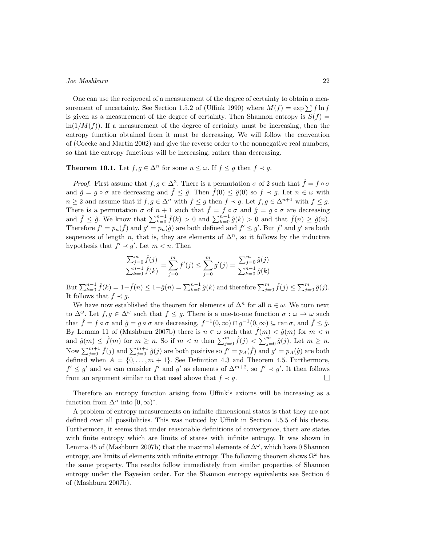One can use the reciprocal of a measurement of the degree of certainty to obtain a measurement of uncertainty. See Section 1.5.2 of (Uffink 1990) where  $M(f) = \exp \sum f \ln f$ is given as a measurement of the degree of certainty. Then Shannon entropy is  $S(f)$  =  $ln(1/M(f))$ . If a measurement of the degree of certainty must be increasing, then the entropy function obtained from it must be decreasing. We will follow the convention of (Coecke and Martin 2002) and give the reverse order to the nonnegative real numbers, so that the entropy functions will be increasing, rather than decreasing.

## **Theorem 10.1.** Let  $f, g \in \Delta^n$  for some  $n \leq \omega$ . If  $f \leq g$  then  $f \prec g$ .

*Proof.* First assume that  $f, g \in \Delta^2$ . There is a permutation  $\sigma$  of 2 such that  $\hat{f} = f \circ \sigma$ and  $\hat{g} = g \circ \sigma$  are decreasing and  $\hat{f} \leq \hat{g}$ . Then  $\hat{f}(0) \leq \hat{g}(0)$  so  $f \prec g$ . Let  $n \in \omega$  with *n* ≥ 2 and assume that if  $f, g \in \Delta^n$  with  $f \leq g$  then  $f \prec g$ . Let  $f, g \in \Delta^{n+1}$  with  $f \leq g$ . There is a permutation  $\sigma$  of  $n + 1$  such that  $\hat{f} = f \circ \sigma$  and  $\hat{g} = g \circ \sigma$  are decreasing and  $\hat{f} \leq \hat{g}$ . We know that  $\sum_{k=0}^{n-1} \hat{f}(k) > 0$  and  $\sum_{k=0}^{n-1} \hat{g}(k) > 0$  and that  $\hat{f}(n) \geq \hat{g}(n)$ . Therefore  $f' = p_n(\hat{f})$  and  $g' = p_n(\hat{g})$  are both defined and  $f' \leq g'$ . But  $f'$  and  $g'$  are both sequences of length *n*, that is, they are elements of  $\Delta^n$ , so it follows by the inductive hypothesis that  $f' \prec g'$ . Let  $m < n$ . Then

$$
\frac{\sum_{j=0}^{m} \hat{f}(j)}{\sum_{k=0}^{n-1} \hat{f}(k)} = \sum_{j=0}^{m} f'(j) \le \sum_{j=0}^{m} g'(j) = \frac{\sum_{j=0}^{m} \hat{g}(j)}{\sum_{k=0}^{n-1} \hat{g}(k)}
$$

But  $\sum_{k=0}^{n-1} \hat{f}(k) = 1 - \hat{f}(n) \leq 1 - \hat{g}(n) = \sum_{k=0}^{n-1} \hat{g}(k)$  and therefore  $\sum_{j=0}^{m} \hat{f}(j) \leq \sum_{j=0}^{m} \hat{g}(j)$ . It follows that  $f \prec g$ .

We have now established the theorem for elements of  $\Delta^n$  for all  $n \in \omega$ . We turn next to  $\Delta^{\omega}$ . Let  $f, g \in \Delta^{\omega}$  such that  $f \leq g$ . There is a one-to-one function  $\sigma : \omega \to \omega$  such that  $\hat{f} = f \circ \sigma$  and  $\hat{g} = g \circ \sigma$  are decreasing,  $f^{-1}(0, \infty) \cap g^{-1}(0, \infty) \subseteq \text{ran } \sigma$ , and  $\hat{f} \leq \hat{g}$ . By Lemma 11 of (Mashburn 2007b) there is  $n \in \omega$  such that  $\hat{f}(m) < \hat{g}(m)$  for  $m < n$ and  $\hat{g}(m) \leq \hat{f}(m)$  for  $m \geq n$ . So if  $m < n$  then  $\sum_{j=0}^{m} \hat{f}(j) < \sum_{j=0}^{m} \hat{g}(j)$ . Let  $m \geq n$ . Now  $\sum_{j=0}^{m+1} \hat{f}(j)$  and  $\sum_{j=0}^{m+1} \hat{g}(j)$  are both positive so  $f' = p_A(\hat{f})$  and  $g' = p_A(\hat{g})$  are both defined when  $A = \{0, \ldots, m+1\}$ . See Definition 4.3 and Theorem 4.5. Furthermore,  $f' \leq g'$  and we can consider  $f'$  and  $g'$  as elements of  $\Delta^{m+2}$ , so  $f' \prec g'$ . It then follows from an argument similar to that used above that  $f \prec g$ .  $\Box$ 

Therefore an entropy function arising from Uffink's axioms will be increasing as a function from  $\Delta^n$  into  $[0, \infty)^*$ .

A problem of entropy measurements on infinite dimensional states is that they are not defined over all possibilities. This was noticed by Uffink in Section 1.5.5 of his thesis. Furthermore, it seems that under reasonable definitions of convergence, there are states with finite entropy which are limits of states with infinite entropy. It was shown in Lemma 45 of (Mashburn 2007b) that the maximal elements of ∆*<sup>ω</sup>*, which have 0 Shannon entropy, are limits of elements with infinite entropy. The following theorem shows  $\Omega^{\omega}$  has the same property. The results follow immediately from similar properties of Shannon entropy under the Bayesian order. For the Shannon entropy equivalents see Section 6 of (Mashburn 2007b).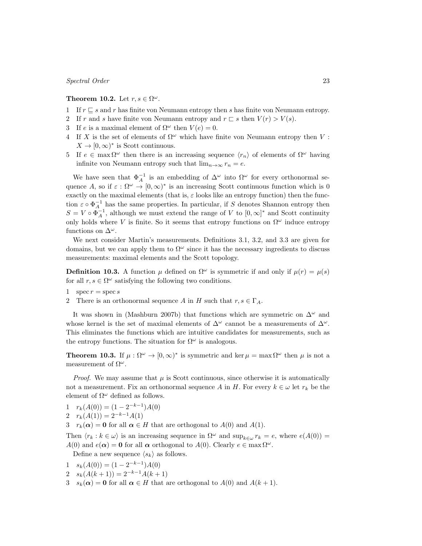## **Theorem 10.2.** Let  $r, s \in \Omega^{\omega}$ .

- 1 If *r ⊑ s* and *r* has finite von Neumann entropy then *s* has finite von Neumann entropy.
- 2 If *r* and *s* have finite von Neumann entropy and  $r \in s$  then  $V(r) > V(s)$ .
- 3 If *e* is a maximal element of  $\Omega^{\omega}$  then  $V(e) = 0$ .
- 4 If X is the set of elements of  $\Omega^{\omega}$  which have finite von Neumann entropy then V:  $X \to [0, \infty)^*$  is Scott continuous.
- 5 If  $e \in \max \Omega^\omega$  then there is an increasing sequence  $\langle r_n \rangle$  of elements of  $\Omega^\omega$  having infinite von Neumann entropy such that  $\lim_{n\to\infty} r_n = e$ .

We have seen that  $\Phi_A^{-1}$  is an embedding of  $\Delta^{\omega}$  into  $\Omega^{\omega}$  for every orthonormal sequence *A*, so if  $\varepsilon : \Omega^{\omega} \to [0, \infty)^{*}$  is an increasing Scott continuous function which is 0 exactly on the maximal elements (that is,  $\varepsilon$  looks like an entropy function) then the function  $\varepsilon \circ \Phi_A^{-1}$  has the same properties. In particular, if *S* denotes Shannon entropy then  $S = V \circ \Phi_A^{-1}$ , although we must extend the range of *V* to  $[0, \infty]^*$  and Scott continuity only holds where *V* is finite. So it seems that entropy functions on  $\Omega^{\omega}$  induce entropy functions on  $\Delta^{\omega}$ .

We next consider Martin's measurements. Definitions 3.1, 3.2, and 3.3 are given for domains, but we can apply them to  $\Omega^{\omega}$  since it has the necessary ingredients to discuss measurements: maximal elements and the Scott topology.

**Definition 10.3.** A function  $\mu$  defined on  $\Omega^{\omega}$  is symmetric if and only if  $\mu(r) = \mu(s)$ for all  $r, s \in \Omega^{\omega}$  satisfying the following two conditions.

1  $\sec r = \sec s$ 

2 There is an orthonormal sequence *A* in *H* such that  $r, s \in \Gamma_A$ .

It was shown in (Mashburn 2007b) that functions which are symmetric on ∆*<sup>ω</sup>* and whose kernel is the set of maximal elements of  $\Delta^{\omega}$  cannot be a measurements of  $\Delta^{\omega}$ . This eliminates the functions which are intuitive candidates for measurements, such as the entropy functions. The situation for  $\Omega^{\omega}$  is analogous.

**Theorem 10.3.** If  $\mu : \Omega^{\omega} \to [0, \infty)^{*}$  is symmetric and ker  $\mu = \max \Omega^{\omega}$  then  $\mu$  is not a measurement of  $\Omega^{\omega}$ .

*Proof.* We may assume that  $\mu$  is Scott continuous, since otherwise it is automatically not a measurement. Fix an orthonormal sequence *A* in *H*. For every  $k \in \omega$  let  $r_k$  be the element of  $\Omega^{\omega}$  defined as follows.

- $r_k(A(0)) = (1 2^{-k-1})A(0)$
- $2 r_k(A(1)) = 2^{-k-1}A(1)$
- 3  $r_k(\alpha) = 0$  for all  $\alpha \in H$  that are orthogonal to  $A(0)$  and  $A(1)$ .

Then  $\langle r_k : k \in \omega \rangle$  is an increasing sequence in  $\Omega^\omega$  and  $\sup_{k \in \omega} r_k = e$ , where  $e(A(0)) =$ *A*(0) and  $e(\alpha) = 0$  for all  $\alpha$  orthogonal to *A*(0). Clearly  $e \in \max \Omega^{\omega}$ .

- Define a new sequence  $\langle s_k \rangle$  as follows.
- $s_k(A(0)) = (1 2^{-k-1})A(0)$
- $2 s_k(A(k+1)) = 2^{-k-1}A(k+1)$
- 3  $s_k(\alpha) = 0$  for all  $\alpha \in H$  that are orthogonal to  $A(0)$  and  $A(k+1)$ .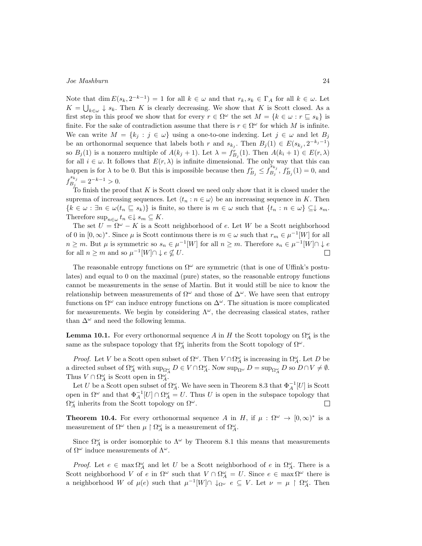Note that  $\dim E(s_k, 2^{-k-1}) = 1$  for all  $k \in \omega$  and that  $r_k, s_k \in \Gamma_A$  for all  $k \in \omega$ . Let  $K = \bigcup_{k \in \omega} \downarrow s_k$ . Then *K* is clearly decreasing. We show that *K* is Scott closed. As a first step in this proof we show that for every  $r \in \Omega^\omega$  the set  $M = \{k \in \omega : r \subseteq s_k\}$  is finite. For the sake of contradiction assume that there is  $r \in \Omega^{\omega}$  for which *M* is infinite. We can write  $M = \{k_j : j \in \omega\}$  using a one-to-one indexing. Let  $j \in \omega$  and let  $B_j$ be an orthonormal sequence that labels both *r* and  $s_{k_j}$ . Then  $B_j(1) \in E(s_{k_j}, 2^{-k_j-1})$ so  $B_j(1)$  is a nonzero multiple of  $A(k_j + 1)$ . Let  $\lambda = f_{B_j}^r(1)$ . Then  $A(k_i + 1) \in E(r, \lambda)$ for all  $i \in \omega$ . It follows that  $E(r, \lambda)$  is infinite dimensional. The only way that this can happen is for  $\lambda$  to be 0. But this is impossible because then  $f_{B_j}^r \leq f_{B_j}^{s_{k_j}}$  $f_{B_j}^{s_{k_j}}$ ,  $f_{B_j}^{r}(1) = 0$ , and  $f_R^{s_{k_j}}$  $\frac{B_j}{B_j} = 2^{-k-1} > 0.$ 

To finish the proof that *K* is Scott closed we need only show that it is closed under the suprema of increasing sequences. Let  $\langle t_n : n \in \omega \rangle$  be an increasing sequence in *K*. Then  $\{k \in \omega : \exists n \in \omega(t_n \sqsubseteq s_k)\}\$  is finite, so there is  $m \in \omega$  such that  $\{t_n : n \in \omega\} \subseteq \downarrow s_m$ . Therefore  $\sup_{n\in\omega}t_n\in\downarrow s_m\subseteq K$ .

The set  $U = \Omega^{\omega} - K$  is a Scott neighborhood of *e*. Let *W* be a Scott neighborhood of 0 in  $[0, \infty)^*$ . Since  $\mu$  is Scott continuous there is  $m \in \omega$  such that  $r_m \in \mu^{-1}[W]$  for all  $n \geq m$ . But  $\mu$  is symmetric so  $s_n \in \mu^{-1}[W]$  for all  $n \geq m$ . Therefore  $s_n \in \mu^{-1}[W] \cap \downarrow e$ for all  $n \geq m$  and so  $\mu^{-1}[W] \cap \downarrow e \nsubseteq U$ .  $\Box$ 

The reasonable entropy functions on  $\Omega^{\omega}$  are symmetric (that is one of Uffink's postulates) and equal to 0 on the maximal (pure) states, so the reasonable entropy functions cannot be measurements in the sense of Martin. But it would still be nice to know the relationship between measurements of  $\Omega^{\omega}$  and those of  $\Delta^{\omega}$ . We have seen that entropy functions on  $\Omega^{\omega}$  can induce entropy functions on  $\Delta^{\omega}$ . The situation is more complicated for measurements. We begin by considering  $\Lambda^{\omega}$ , the decreasing classical states, rather than  $\Delta^{\omega}$  and need the following lemma.

**Lemma 10.1.** For every orthonormal sequence *A* in *H* the Scott topology on  $\Omega_A^{\omega}$  is the same as the subspace topology that  $\Omega^{\omega}_A$  inherits from the Scott topology of  $\Omega^{\omega}$ .

*Proof.* Let *V* be a Scott open subset of  $\Omega^{\omega}$ . Then  $V \cap \Omega^{\omega}_A$  is increasing in  $\Omega^{\omega}_A$ . Let *D* be a directed subset of  $\Omega^{\omega}_A$  with  $\sup_{\Omega^{\omega}_A} D \in V \cap \Omega^{\omega}_A$ . Now  $\sup_{\Omega^{\omega}} D = \sup_{\Omega^{\omega}_A} D$  so  $D \cap V \neq \emptyset$ . Thus  $V \cap \Omega_A^{\omega}$  is Scott open in  $\Omega_A^{\omega}$ .

Let *U* be a Scott open subset of  $\Omega^{\omega}_A$ . We have seen in Theorem 8.3 that  $\Phi^{-1}_A[U]$  is Scott open in  $\Omega^{\omega}$  and that  $\Phi^{-1}_A[U] \cap \Omega^{\omega}_A = U$ . Thus *U* is open in the subspace topology that  $\Omega^{\omega}_A$  inherits from the Scott topology on  $\Omega^{\omega}$ .  $\Box$ 

**Theorem 10.4.** For every orthonormal sequence *A* in *H*, if  $\mu : \Omega^{\omega} \to [0,\infty)^{*}$  is a measurement of  $\Omega^{\omega}$  then  $\mu \restriction \Omega^{\omega}_A$  is a measurement of  $\Omega^{\omega}_A$ .

Since  $\Omega^{\omega}_A$  is order isomorphic to  $\Lambda^{\omega}$  by Theorem 8.1 this means that measurements of Ω*<sup>ω</sup>* induce measurements of Λ*<sup>ω</sup>*.

*Proof.* Let  $e \in \max \Omega^{\omega}_A$  and let *U* be a Scott neighborhood of *e* in  $\Omega^{\omega}_A$ . There is a Scott neighborhood *V* of *e* in  $\Omega^{\omega}$  such that  $V \cap \Omega^{\omega}_A = U$ . Since  $e \in \max \Omega^{\omega}$  there is a neighborhood *W* of  $\mu(e)$  such that  $\mu^{-1}[W] \cap \downarrow_{\Omega^{\omega}} e \subseteq V$ . Let  $\nu = \mu \upharpoonright \Omega^{\omega}_A$ . Then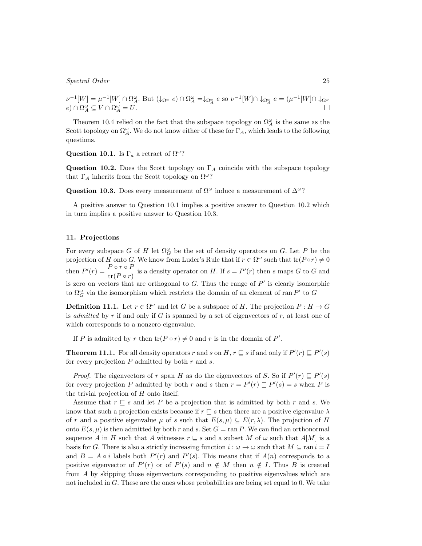$$
\nu^{-1}[W] = \mu^{-1}[W] \cap \Omega_A^{\omega}.
$$
 But  $(\downarrow_{\Omega^{\omega}} e) \cap \Omega_A^{\omega} = \downarrow_{\Omega_A^{\omega}} e$  so  $\nu^{-1}[W] \cap \downarrow_{\Omega_A^{\omega}} e = (\mu^{-1}[W] \cap \downarrow_{\Omega^{\omega}} e)$   
 $e) \cap \Omega_A^{\omega} \subseteq V \cap \Omega_A^{\omega} = U.$ 

Theorem 10.4 relied on the fact that the subspace topology on  $\Omega^{\omega}_A$  is the same as the Scott topology on  $\Omega^{\omega}_A$ . We do not know either of these for  $\Gamma_A$ , which leads to the following questions.

**Question 10.1.** Is  $\Gamma_a$  a retract of  $\Omega^{\omega}$ ?

**Question 10.2.** Does the Scott topology on  $\Gamma_A$  coincide with the subspace topology that Γ*<sup>A</sup>* inherits from the Scott topology on Ω*<sup>ω</sup>*?

**Question 10.3.** Does every measurement of  $\Omega^{\omega}$  induce a measurement of  $\Delta^{\omega}$ ?

A positive answer to Question 10.1 implies a positive answer to Question 10.2 which in turn implies a positive answer to Question 10.3.

#### **11. Projections**

For every subspace *G* of *H* let  $\Omega_G^{\omega}$  be the set of density operators on *G*. Let *P* be the projection of *H* onto *G*. We know from Luder's Rule that if  $r \in \Omega^\omega$  such that  $\text{tr}(P \circ r) \neq 0$ then  $P'(r) = \frac{P \circ r \circ P}{\text{tr}(P \circ r)}$  is a density operator on H. If  $s = P'(r)$  then s maps G to G and is zero on vectors that are orthogonal to *G*. Thus the range of *P ′* is clearly isomorphic to  $\Omega_G^{\omega}$  via the isomorphism which restricts the domain of an element of ran  $P'$  to  $G$ 

**Definition 11.1.** Let  $r \in \Omega^{\omega}$  and let *G* be a subspace of *H*. The projection  $P: H \to G$ is *admitted* by *r* if and only if *G* is spanned by a set of eigenvectors of *r*, at least one of which corresponds to a nonzero eigenvalue.

If *P* is admitted by *r* then  $tr(P \circ r) \neq 0$  and *r* is in the domain of *P'*.

**Theorem 11.1.** For all density operators *r* and *s* on *H*,  $r \sqsubseteq s$  if and only if  $P'(r) \sqsubseteq P'(s)$ for every projection *P* admitted by both *r* and *s*.

*Proof.* The eigenvectors of *r* span *H* as do the eigenvectors of *S*. So if  $P'(r) \subseteq P'(s)$ for every projection *P* admitted by both *r* and *s* then  $r = P'(r) \sqsubseteq P'(s) = s$  when *P* is the trivial projection of *H* onto itself.

Assume that *r ⊑ s* and let *P* be a projection that is admitted by both *r* and *s*. We know that such a projection exists because if  $r \subseteq s$  then there are a positive eigenvalue  $\lambda$ of *r* and a positive eigenvalue  $\mu$  of *s* such that  $E(s, \mu) \subseteq E(r, \lambda)$ . The projection of *H* onto  $E(s, \mu)$  is then admitted by both *r* and *s*. Set  $G = \text{ran } P$ . We can find an orthonormal sequence *A* in *H* such that *A* witnesses  $r \subseteq s$  and a subset *M* of  $\omega$  such that  $A[M]$  is a basis for *G*. There is also a strictly increasing function  $i : \omega \to \omega$  such that  $M \subseteq \text{ran } i = I$ and  $B = A \circ i$  labels both  $P'(r)$  and  $P'(s)$ . This means that if  $A(n)$  corresponds to a positive eigenvector of  $P'(r)$  or of  $P'(s)$  and  $n \notin M$  then  $n \notin I$ . Thus B is created from *A* by skipping those eigenvectors corresponding to positive eigenvalues which are not included in *G*. These are the ones whose probabilities are being set equal to 0. We take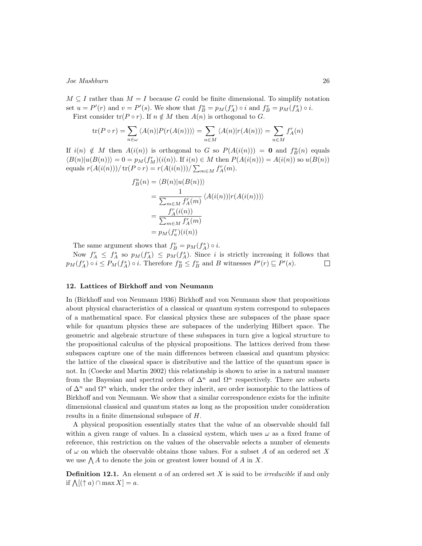$M \subseteq I$  rather than  $M = I$  because G could be finite dimensional. To simplify notation set  $u = P'(r)$  and  $v = P'(s)$ . We show that  $f_B^u = p_M(f_A^r) \circ i$  and  $f_B^v = p_M(f_A^s) \circ i$ . First consider  $tr(P \circ r)$ . If  $n \notin M$  then  $A(n)$  is orthogonal to *G*.

$$
\operatorname{tr}(P \circ r) = \sum_{n \in \omega} \langle A(n) | P(r(A(n))) \rangle = \sum_{n \in M} \langle A(n) | r(A(n)) \rangle = \sum_{n \in M} f_A^r(n)
$$

If  $i(n) \notin M$  then  $A(i(n))$  is orthogonal to *G* so  $P(A(i(n))) = 0$  and  $f_B^u(n)$  equals  $\langle B(n)|u(B(n))\rangle = 0 = p_M(f_M^r)(i(n))$ . If  $i(n) \in M$  then  $P(A(i(n))) = A(i(n))$  so  $u(B(n))$ equals  $r(A(i(n))) / tr(P \circ r) = r(A(i(n))) / \sum_{m \in M} f_A^r(m)$ .

$$
f_B^u(n) = \langle B(n)|u(B(n))\rangle
$$
  
= 
$$
\frac{1}{\sum_{m\in M} f_A^r(m)} \langle A(i(n))|r(A(i(n)))\rangle
$$
  
= 
$$
\frac{f_A^r(i(n))}{\sum_{m\in M} f_A^r(m)}
$$
  
= 
$$
p_M(f_a^r)(i(n))
$$

The same argument shows that  $f_B^v = p_M(f_A^s) \circ i$ .

Now  $f_A^r \leq f_A^s$  so  $p_M(f_A^r) \leq p_M(f_A^s)$ . Since *i* is strictly increasing it follows that  $p_M(f_A^r) \circ i \leq P_M(f_A^s) \circ i$ . Therefore  $f_B^u \leq f_B^v$  and B witnesses  $P'(r) \sqsubseteq P'(s)$ .  $\Box$ 

#### **12. Lattices of Birkhoff and von Neumann**

In (Birkhoff and von Neumann 1936) Birkhoff and von Neumann show that propositions about physical characteristics of a classical or quantum system correspond to subspaces of a mathematical space. For classical physics these are subspaces of the phase space while for quantum physics these are subspaces of the underlying Hilbert space. The geometric and algebraic structure of these subspaces in turn give a logical structure to the propositional calculus of the physical propositions. The lattices derived from these subspaces capture one of the main differences between classical and quantum physics: the lattice of the classical space is distributive and the lattice of the quantum space is not. In (Coecke and Martin 2002) this relationship is shown to arise in a natural manner from the Bayesian and spectral orders of  $\Delta^n$  and  $\Omega^n$  respectively. There are subsets of ∆*<sup>n</sup>* and Ω*<sup>n</sup>* which, under the order they inherit, are order isomorphic to the lattices of Birkhoff and von Neumann. We show that a similar correspondence exists for the infinite dimensional classical and quantum states as long as the proposition under consideration results in a finite dimensional subspace of *H*.

A physical proposition essentially states that the value of an observable should fall within a given range of values. In a classical system, which uses *ω* as a fixed frame of reference, this restriction on the values of the observable selects a number of elements of *ω* on which the observable obtains those values. For a subset *A* of an ordered set *X* we use ∧ *A* to denote the join or greatest lower bound of *A* in *X*.

**Definition 12.1.** An element *a* of an ordered set *X* is said to be *irreducible* if and only if  $\Lambda[(\uparrow a) \cap \max X] = a$ .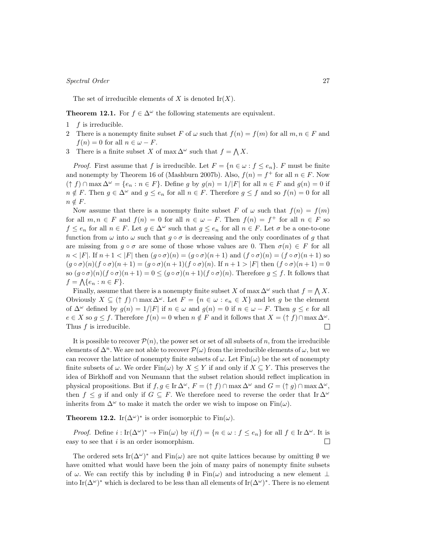The set of irreducible elements of  $X$  is denoted  $\text{Ir}(X)$ .

**Theorem 12.1.** For  $f \in \Delta^\omega$  the following statements are equivalent.

- 1 *f* is irreducible.
- 2 There is a nonempty finite subset F of  $\omega$  such that  $f(n) = f(m)$  for all  $m, n \in F$  and  $f(n) = 0$  for all  $n \in \omega - F$ .
- 3 There is a finite subset *X* of max  $\Delta^{\omega}$  such that  $f = \bigwedge X$ .

*Proof.* First assume that *f* is irreducible. Let  $F = \{n \in \omega : f \leq e_n\}$ . *F* must be finite and nonempty by Theorem 16 of (Mashburn 2007b). Also,  $f(n) = f^+$  for all  $n \in F$ . Now  $(\uparrow f) \cap \max \Delta^{\omega} = \{e_n : n \in F\}.$  Define g by  $g(n) = 1/|F|$  for all  $n \in F$  and  $g(n) = 0$  if  $n \notin F$ . Then  $g \in \Delta^{\omega}$  and  $g \leq e_n$  for all  $n \in F$ . Therefore  $g \leq f$  and so  $f(n) = 0$  for all  $n \notin F$ .

Now assume that there is a nonempty finite subset *F* of  $\omega$  such that  $f(n) = f(m)$ for all  $m, n \in F$  and  $f(n) = 0$  for all  $n \in \omega - F$ . Then  $f(n) = f^+$  for all  $n \in F$  so  $f \leq e_n$  for all  $n \in F$ . Let  $g \in \Delta^\omega$  such that  $g \leq e_n$  for all  $n \in F$ . Let  $\sigma$  be a one-to-one function from  $\omega$  into  $\omega$  such that  $g \circ \sigma$  is decreasing and the only coordinates of *g* that are missing from  $g \circ \sigma$  are some of those whose values are 0. Then  $\sigma(n) \in F$  for all  $n < |F|$ . If  $n+1 < |F|$  then  $(g \circ \sigma)(n) = (g \circ \sigma)(n+1)$  and  $(f \circ \sigma)(n) = (f \circ \sigma)(n+1)$  so  $(g \circ \sigma)(n)(f \circ \sigma)(n+1) = (g \circ \sigma)(n+1)(f \circ \sigma)(n)$ . If  $n+1 > |F|$  then  $(f \circ \sigma)(n+1) = 0$ so  $(g \circ \sigma)(n)(f \circ \sigma)(n+1) = 0 \le (g \circ \sigma)(n+1)(f \circ \sigma)(n)$ . Therefore  $g \le f$ . It follows that  $f = \Lambda\{e_n : n \in F\}.$ 

Finally, assume that there is a nonempty finite subset *X* of max  $\Delta^{\omega}$  such that  $f = \bigwedge X$ . Obviously  $X \subseteq (\uparrow f) \cap \max \Delta^{\omega}$ . Let  $F = \{n \in \omega : e_n \in X\}$  and let g be the element of  $\Delta^{\omega}$  defined by  $g(n) = 1/|F|$  if  $n \in \omega$  and  $g(n) = 0$  if  $n \in \omega - F$ . Then  $g \le e$  for all  $e \in X$  so  $g \leq f$ . Therefore  $f(n) = 0$  when  $n \notin F$  and it follows that  $X = (f \nmid f) \cap \max \Delta^{\omega}$ . Thus *f* is irreducible.  $\Box$ 

It is possible to recover  $P(n)$ , the power set or set of all subsets of *n*, from the irreducible elements of  $\Delta^n$ . We are not able to recover  $\mathcal{P}(\omega)$  from the irreducible elements of  $\omega$ , but we can recover the lattice of nonempty finite subsets of  $\omega$ . Let  $\text{Fin}(\omega)$  be the set of nonempty finite subsets of  $\omega$ . We order Fin $(\omega)$  by  $X \leq Y$  if and only if  $X \subseteq Y$ . This preserves the idea of Birkhoff and von Neumann that the subset relation should reflect implication in physical propositions. But if  $f, g \in \text{Ir } \Delta^{\omega}$ ,  $F = (\uparrow f) \cap \max \Delta^{\omega}$  and  $G = (\uparrow g) \cap \max \Delta^{\omega}$ , then  $f \leq g$  if and only if  $G \subseteq F$ . We therefore need to reverse the order that Ir  $\Delta^{\omega}$ inherits from  $\Delta^{\omega}$  to make it match the order we wish to impose on Fin $(\omega)$ .

**Theorem 12.2.** Ir( $\Delta^{\omega}$ )<sup>\*</sup> is order isomorphic to Fin( $\omega$ ).

*Proof.* Define  $i: \text{Ir}(\Delta^{\omega})^* \to \text{Fin}(\omega)$  by  $i(f) = \{n \in \omega : f \leq e_n\}$  for all  $f \in \text{Ir} \Delta^{\omega}$ . It is easy to see that *i* is an order isomorphism.  $\Box$ 

The ordered sets  $\text{Ir}(\Delta^{\omega})^*$  and  $\text{Fin}(\omega)$  are not quite lattices because by omitting  $\emptyset$  we have omitted what would have been the join of many pairs of nonempty finite subsets of *ω*. We can rectify this by including *∅* in Fin(*ω*) and introducing a new element *⊥* into Ir( $\Delta^{\omega}$ )<sup>\*</sup> which is declared to be less than all elements of Ir( $\Delta^{\omega}$ )<sup>\*</sup>. There is no element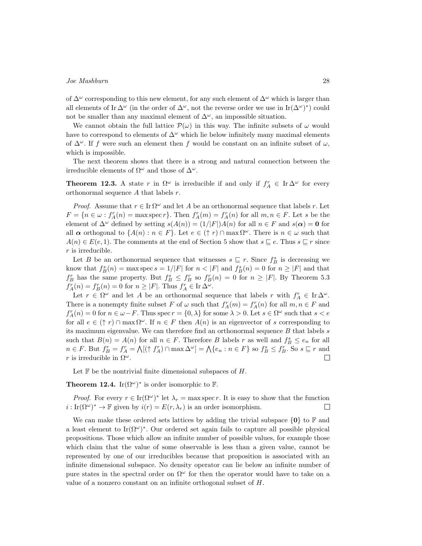of ∆*<sup>ω</sup>* corresponding to this new element, for any such element of ∆*<sup>ω</sup>* which is larger than all elements of Ir  $\Delta^{\omega}$  (in the order of  $\Delta^{\omega}$ , not the reverse order we use in Ir $(\Delta^{\omega})^*$ ) could not be smaller than any maximal element of  $\Delta^{\omega}$ , an impossible situation.

We cannot obtain the full lattice  $\mathcal{P}(\omega)$  in this way. The infinite subsets of  $\omega$  would have to correspond to elements of  $\Delta^{\omega}$  which lie below infinitely many maximal elements of  $\Delta^{\omega}$ . If *f* were such an element then *f* would be constant on an infinite subset of  $\omega$ , which is impossible.

The next theorem shows that there is a strong and natural connection between the irreducible elements of  $\Omega^{\omega}$  and those of  $\Delta^{\omega}$ .

**Theorem 12.3.** A state *r* in  $\Omega^{\omega}$  is irreducible if and only if  $f_A^r \in \text{Ir}\Delta^{\omega}$  for every orthonormal sequence *A* that labels *r*.

*Proof.* Assume that  $r \in \text{Ir } \Omega^{\omega}$  and let A be an orthonormal sequence that labels *r*. Let  $F = \{n \in \omega : f_A^r(n) = \max \operatorname{spec} r\}$ . Then  $f_A^r(m) = f_A^r(n)$  for all  $m, n \in F$ . Let s be the element of  $\Delta^{\omega}$  defined by setting  $s(A(n)) = (1/|F|)A(n)$  for all  $n \in F$  and  $s(\alpha) = 0$  for all  $\alpha$  orthogonal to  $\{A(n): n \in F\}$ . Let  $e \in (\uparrow r) \cap \max \Omega^{\omega}$ . There is  $n \in \omega$  such that *A*(*n*)  $∈$  *E*(*e*, 1). The comments at the end of Section 5 show that  $s \subseteq e$ . Thus  $s \subseteq r$  since *r* is irreducible.

Let *B* be an orthonormal sequence that witnesses  $s \subseteq r$ . Since  $f_B^s$  is decreasing we know that  $f_B^s(n) = \max \operatorname{spec} s = 1/|F|$  for  $n < |F|$  and  $f_B^s(n) = 0$  for  $n \geq |F|$  and that *f*<sub>B</sub> has the same property. But  $f_B^s \leq f_B^r$  so  $f_B^r(n) = 0$  for  $n \geq |F|$ . By Theorem 5.3  $f_A^r(n) = f_B^r(n) = 0$  for  $n \geq |F|$ . Thus  $f_A^r \in \text{Ir } \Delta^{\omega}$ .

Let  $r \in \Omega^{\omega}$  and let *A* be an orthonormal sequence that labels *r* with  $f_A^r \in \text{Ir }\Delta^{\omega}$ . There is a nonempty finite subset *F* of  $\omega$  such that  $f_A^r(m) = f_A^r(n)$  for all  $m, n \in F$  and  $f_A^r(n) = 0$  for  $n \in \omega - F$ . Thus spec  $r = \{0, \lambda\}$  for some  $\lambda > 0$ . Let  $s \in \Omega^{\omega}$  such that  $s < e$ for all  $e \in (\uparrow r) \cap \max \Omega^\omega$ . If  $n \in F$  then  $A(n)$  is an eigenvector of *s* corresponding to its maximum eigenvalue. We can therefore find an orthonormal sequence *B* that labels *s* such that  $B(n) = A(n)$  for all  $n \in F$ . Therefore *B* labels *r* as well and  $f_B^s \le e_n$  for all  $n \in F$ . But  $f_B^r = f_A^r = \bigwedge [(\uparrow f_A^r) \cap \max \Delta^{\omega}] = \bigwedge \{e_n : n \in F\}$  so  $f_B^s \leq f_B^r$ . So  $s \sqsubseteq r$  and *r* is irreducible in  $\Omega^{\omega}$ .  $\Box$ 

Let F be the nontrivial finite dimensional subspaces of *H*.

**Theorem 12.4.** Ir $(\Omega^{\omega})^*$  is order isomorphic to **F**.

*Proof.* For every  $r \in \text{Ir}(\Omega^{\omega})^*$  let  $\lambda_r = \max \text{spec } r$ . It is easy to show that the function  $i: \text{Ir}(\Omega^{\omega})^* \to \mathbb{F}$  given by  $i(r) = E(r, \lambda_r)$  is an order isomorphism.  $\Box$ 

We can make these ordered sets lattices by adding the trivial subspace  $\{0\}$  to F and a least element to Ir $(\Omega^{\omega})^*$ . Our ordered set again fails to capture all possible physical propositions. Those which allow an infinite number of possible values, for example those which claim that the value of some observable is less than a given value, cannot be represented by one of our irreducibles because that proposition is associated with an infinite dimensional subspace. No density operator can lie below an infinite number of pure states in the spectral order on  $\Omega^{\omega}$  for then the operator would have to take on a value of a nonzero constant on an infinite orthogonal subset of *H*.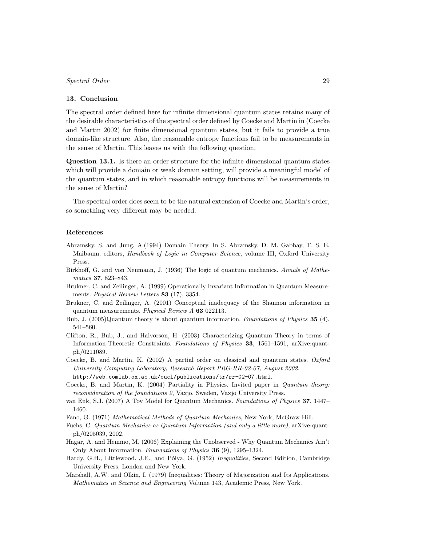#### **13. Conclusion**

The spectral order defined here for infinite dimensional quantum states retains many of the desirable characteristics of the spectral order defined by Coecke and Martin in (Coecke and Martin 2002) for finite dimensional quantum states, but it fails to provide a true domain-like structure. Also, the reasonable entropy functions fail to be measurements in the sense of Martin. This leaves us with the following question.

**Question 13.1.** Is there an order structure for the infinite dimensional quantum states which will provide a domain or weak domain setting, will provide a meaningful model of the quantum states, and in which reasonable entropy functions will be measurements in the sense of Martin?

The spectral order does seem to be the natural extension of Coecke and Martin's order, so something very different may be needed.

#### **References**

- Abramsky, S. and Jung, A.(1994) Domain Theory. In S. Abramsky, D. M. Gabbay, T. S. E. Maibaum, editors, *Handbook of Logic in Computer Science*, volume III, Oxford University Press.
- Birkhoff, G. and von Neumann, J. (1936) The logic of quantum mechanics. *Annals of Mathematics* **37**, 823–843.
- Brukner, C. and Zeilinger, A. (1999) Operationally Invariant Information in Quantum Measurements. *Physical Review Letters* **83** (17), 3354.
- Brukner, C. and Zeilinger, A. (2001) Conceptual inadequacy of the Shannon information in quantum measurements. *Physical Review A* **63** 022113.
- Bub, J. (2005)Quantum theory is about quantum information. *Foundations of Physics* **35** (4), 541–560.
- Clifton, R., Bub, J., and Halvorson, H. (2003) Characterizing Quantum Theory in terms of Information-Theoretic Constraints. *Foundations of Physics* **33**, 1561–1591, arXive:quantph/0211089.
- Coecke, B. and Martin, K. (2002) A partial order on classical and quantum states. *Oxford University Computing Laboratory, Research Report PRG-RR-02-07, August 2002,* http://web.comlab.ox.ac.uk/oucl/publications/tr/rr-02-07.html.
- Coecke, B. and Martin, K. (2004) Partiality in Physics. Invited paper in *Quantum theory: reconsideration of the foundations 2*, Vaxjo, Sweden, Vaxjo University Press.
- van Enk, S.J. (2007) A Toy Model for Quantum Mechanics. *Foundations of Physics* **37**, 1447– 1460.
- Fano, G. (1971) *Mathematical Methods of Quantum Mechanics*, New York, McGraw Hill.
- Fuchs, C. *Quantum Mechanics as Quantum Information (and only a little more)*, arXive:quantph/0205039, 2002.
- Hagar, A. and Hemmo, M. (2006) Explaining the Unobserved Why Quantum Mechanics Ain't Only About Information. *Foundations of Physics* **36** (9), 1295–1324.
- Hardy, G.H., Littlewood, J.E., and Pólya, G. (1952) *Inequalities*, Second Edition, Cambridge University Press, London and New York.
- Marshall, A.W. and Olkin, I. (1979) Inequalities: Theory of Majorization and Its Applications. *Mathematics in Science and Engineering* Volume 143, Academic Press, New York.